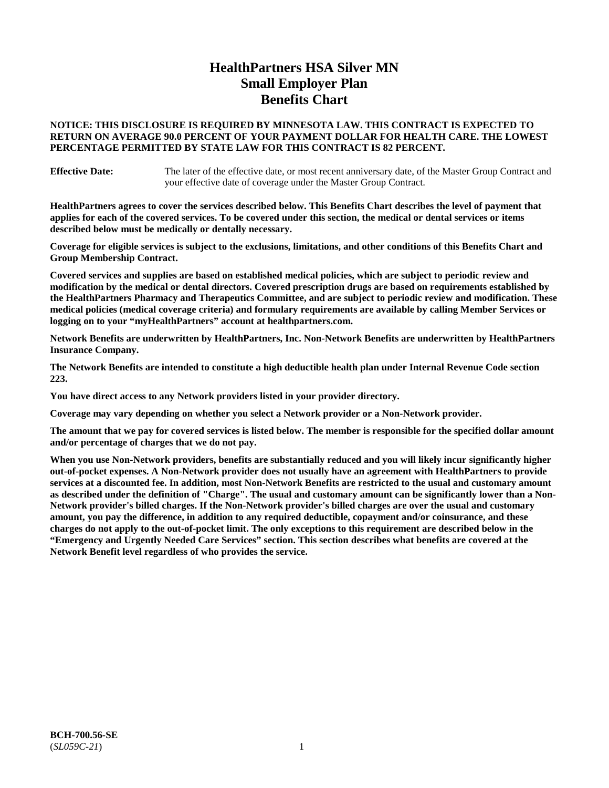# **HealthPartners HSA Silver MN Small Employer Plan Benefits Chart**

# **NOTICE: THIS DISCLOSURE IS REQUIRED BY MINNESOTA LAW. THIS CONTRACT IS EXPECTED TO RETURN ON AVERAGE 90.0 PERCENT OF YOUR PAYMENT DOLLAR FOR HEALTH CARE. THE LOWEST PERCENTAGE PERMITTED BY STATE LAW FOR THIS CONTRACT IS 82 PERCENT.**

**Effective Date:** The later of the effective date, or most recent anniversary date, of the Master Group Contract and your effective date of coverage under the Master Group Contract.

**HealthPartners agrees to cover the services described below. This Benefits Chart describes the level of payment that applies for each of the covered services. To be covered under this section, the medical or dental services or items described below must be medically or dentally necessary.**

**Coverage for eligible services is subject to the exclusions, limitations, and other conditions of this Benefits Chart and Group Membership Contract.**

**Covered services and supplies are based on established medical policies, which are subject to periodic review and modification by the medical or dental directors. Covered prescription drugs are based on requirements established by the HealthPartners Pharmacy and Therapeutics Committee, and are subject to periodic review and modification. These medical policies (medical coverage criteria) and formulary requirements are available by calling Member Services or logging on to your "myHealthPartners" account at [healthpartners.com.](https://www.healthpartners.com/hp/index.html)**

**Network Benefits are underwritten by HealthPartners, Inc. Non-Network Benefits are underwritten by HealthPartners Insurance Company.** 

**The Network Benefits are intended to constitute a high deductible health plan under Internal Revenue Code section 223.** 

**You have direct access to any Network providers listed in your provider directory.**

**Coverage may vary depending on whether you select a Network provider or a Non-Network provider.**

**The amount that we pay for covered services is listed below. The member is responsible for the specified dollar amount and/or percentage of charges that we do not pay.**

**When you use Non-Network providers, benefits are substantially reduced and you will likely incur significantly higher out-of-pocket expenses. A Non-Network provider does not usually have an agreement with HealthPartners to provide services at a discounted fee. In addition, most Non-Network Benefits are restricted to the usual and customary amount as described under the definition of "Charge". The usual and customary amount can be significantly lower than a Non-Network provider's billed charges. If the Non-Network provider's billed charges are over the usual and customary amount, you pay the difference, in addition to any required deductible, copayment and/or coinsurance, and these charges do not apply to the out-of-pocket limit. The only exceptions to this requirement are described below in the "Emergency and Urgently Needed Care Services" section. This section describes what benefits are covered at the Network Benefit level regardless of who provides the service.**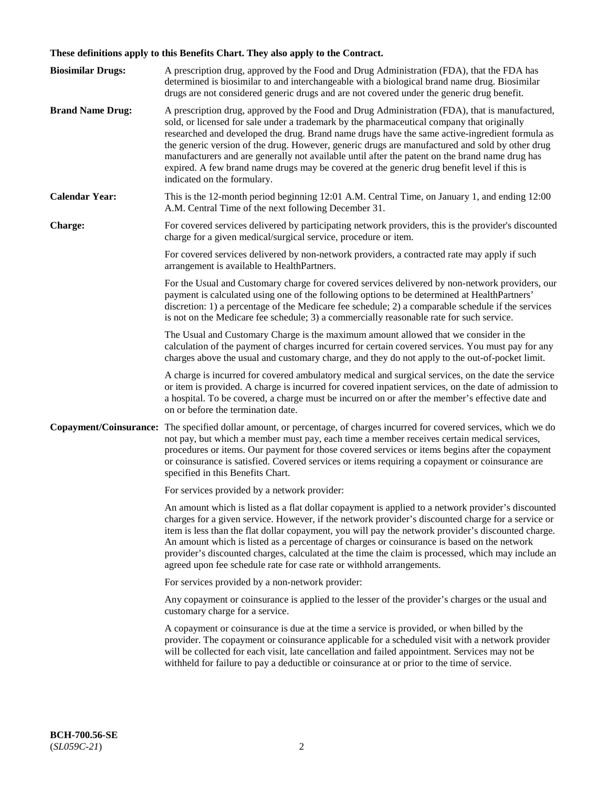# **These definitions apply to this Benefits Chart. They also apply to the Contract.**

| <b>Biosimilar Drugs:</b> | A prescription drug, approved by the Food and Drug Administration (FDA), that the FDA has<br>determined is biosimilar to and interchangeable with a biological brand name drug. Biosimilar<br>drugs are not considered generic drugs and are not covered under the generic drug benefit.                                                                                                                                                                                                                                                                                                                                           |
|--------------------------|------------------------------------------------------------------------------------------------------------------------------------------------------------------------------------------------------------------------------------------------------------------------------------------------------------------------------------------------------------------------------------------------------------------------------------------------------------------------------------------------------------------------------------------------------------------------------------------------------------------------------------|
| <b>Brand Name Drug:</b>  | A prescription drug, approved by the Food and Drug Administration (FDA), that is manufactured,<br>sold, or licensed for sale under a trademark by the pharmaceutical company that originally<br>researched and developed the drug. Brand name drugs have the same active-ingredient formula as<br>the generic version of the drug. However, generic drugs are manufactured and sold by other drug<br>manufacturers and are generally not available until after the patent on the brand name drug has<br>expired. A few brand name drugs may be covered at the generic drug benefit level if this is<br>indicated on the formulary. |
| <b>Calendar Year:</b>    | This is the 12-month period beginning 12:01 A.M. Central Time, on January 1, and ending 12:00<br>A.M. Central Time of the next following December 31.                                                                                                                                                                                                                                                                                                                                                                                                                                                                              |
| <b>Charge:</b>           | For covered services delivered by participating network providers, this is the provider's discounted<br>charge for a given medical/surgical service, procedure or item.                                                                                                                                                                                                                                                                                                                                                                                                                                                            |
|                          | For covered services delivered by non-network providers, a contracted rate may apply if such<br>arrangement is available to HealthPartners.                                                                                                                                                                                                                                                                                                                                                                                                                                                                                        |
|                          | For the Usual and Customary charge for covered services delivered by non-network providers, our<br>payment is calculated using one of the following options to be determined at HealthPartners'<br>discretion: 1) a percentage of the Medicare fee schedule; 2) a comparable schedule if the services<br>is not on the Medicare fee schedule; 3) a commercially reasonable rate for such service.                                                                                                                                                                                                                                  |
|                          | The Usual and Customary Charge is the maximum amount allowed that we consider in the<br>calculation of the payment of charges incurred for certain covered services. You must pay for any<br>charges above the usual and customary charge, and they do not apply to the out-of-pocket limit.                                                                                                                                                                                                                                                                                                                                       |
|                          | A charge is incurred for covered ambulatory medical and surgical services, on the date the service<br>or item is provided. A charge is incurred for covered inpatient services, on the date of admission to<br>a hospital. To be covered, a charge must be incurred on or after the member's effective date and<br>on or before the termination date.                                                                                                                                                                                                                                                                              |
| Copayment/Coinsurance:   | The specified dollar amount, or percentage, of charges incurred for covered services, which we do<br>not pay, but which a member must pay, each time a member receives certain medical services,<br>procedures or items. Our payment for those covered services or items begins after the copayment<br>or coinsurance is satisfied. Covered services or items requiring a copayment or coinsurance are<br>specified in this Benefits Chart.                                                                                                                                                                                        |
|                          | For services provided by a network provider:                                                                                                                                                                                                                                                                                                                                                                                                                                                                                                                                                                                       |
|                          | An amount which is listed as a flat dollar copayment is applied to a network provider's discounted<br>charges for a given service. However, if the network provider's discounted charge for a service or<br>item is less than the flat dollar copayment, you will pay the network provider's discounted charge.<br>An amount which is listed as a percentage of charges or coinsurance is based on the network<br>provider's discounted charges, calculated at the time the claim is processed, which may include an<br>agreed upon fee schedule rate for case rate or withhold arrangements.                                      |
|                          | For services provided by a non-network provider:                                                                                                                                                                                                                                                                                                                                                                                                                                                                                                                                                                                   |
|                          | Any copayment or coinsurance is applied to the lesser of the provider's charges or the usual and<br>customary charge for a service.                                                                                                                                                                                                                                                                                                                                                                                                                                                                                                |
|                          | A copayment or coinsurance is due at the time a service is provided, or when billed by the<br>provider. The copayment or coinsurance applicable for a scheduled visit with a network provider<br>will be collected for each visit, late cancellation and failed appointment. Services may not be<br>withheld for failure to pay a deductible or coinsurance at or prior to the time of service.                                                                                                                                                                                                                                    |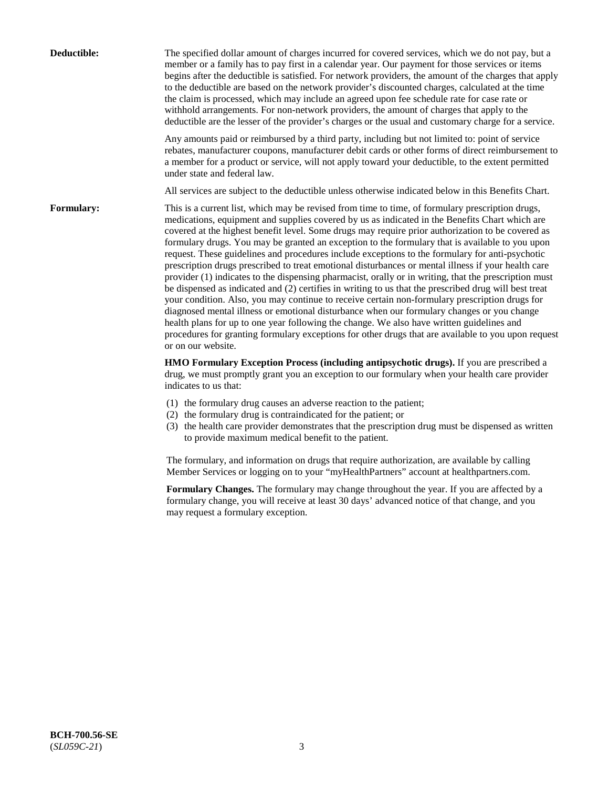| Deductible:       | The specified dollar amount of charges incurred for covered services, which we do not pay, but a<br>member or a family has to pay first in a calendar year. Our payment for those services or items<br>begins after the deductible is satisfied. For network providers, the amount of the charges that apply<br>to the deductible are based on the network provider's discounted charges, calculated at the time<br>the claim is processed, which may include an agreed upon fee schedule rate for case rate or<br>withhold arrangements. For non-network providers, the amount of charges that apply to the<br>deductible are the lesser of the provider's charges or the usual and customary charge for a service.                                                                                                                                                                                                                                                                                                                                                                                                                                                                                                                                             |
|-------------------|------------------------------------------------------------------------------------------------------------------------------------------------------------------------------------------------------------------------------------------------------------------------------------------------------------------------------------------------------------------------------------------------------------------------------------------------------------------------------------------------------------------------------------------------------------------------------------------------------------------------------------------------------------------------------------------------------------------------------------------------------------------------------------------------------------------------------------------------------------------------------------------------------------------------------------------------------------------------------------------------------------------------------------------------------------------------------------------------------------------------------------------------------------------------------------------------------------------------------------------------------------------|
|                   | Any amounts paid or reimbursed by a third party, including but not limited to: point of service<br>rebates, manufacturer coupons, manufacturer debit cards or other forms of direct reimbursement to<br>a member for a product or service, will not apply toward your deductible, to the extent permitted<br>under state and federal law.                                                                                                                                                                                                                                                                                                                                                                                                                                                                                                                                                                                                                                                                                                                                                                                                                                                                                                                        |
|                   | All services are subject to the deductible unless otherwise indicated below in this Benefits Chart.                                                                                                                                                                                                                                                                                                                                                                                                                                                                                                                                                                                                                                                                                                                                                                                                                                                                                                                                                                                                                                                                                                                                                              |
| <b>Formulary:</b> | This is a current list, which may be revised from time to time, of formulary prescription drugs,<br>medications, equipment and supplies covered by us as indicated in the Benefits Chart which are<br>covered at the highest benefit level. Some drugs may require prior authorization to be covered as<br>formulary drugs. You may be granted an exception to the formulary that is available to you upon<br>request. These guidelines and procedures include exceptions to the formulary for anti-psychotic<br>prescription drugs prescribed to treat emotional disturbances or mental illness if your health care<br>provider (1) indicates to the dispensing pharmacist, orally or in writing, that the prescription must<br>be dispensed as indicated and (2) certifies in writing to us that the prescribed drug will best treat<br>your condition. Also, you may continue to receive certain non-formulary prescription drugs for<br>diagnosed mental illness or emotional disturbance when our formulary changes or you change<br>health plans for up to one year following the change. We also have written guidelines and<br>procedures for granting formulary exceptions for other drugs that are available to you upon request<br>or on our website. |
|                   | HMO Formulary Exception Process (including antipsychotic drugs). If you are prescribed a<br>drug, we must promptly grant you an exception to our formulary when your health care provider<br>indicates to us that:                                                                                                                                                                                                                                                                                                                                                                                                                                                                                                                                                                                                                                                                                                                                                                                                                                                                                                                                                                                                                                               |
|                   | (1) the formulary drug causes an adverse reaction to the patient;<br>(2) the formulary drug is contraindicated for the patient; or<br>(3) the health care provider demonstrates that the prescription drug must be dispensed as written<br>to provide maximum medical benefit to the patient.                                                                                                                                                                                                                                                                                                                                                                                                                                                                                                                                                                                                                                                                                                                                                                                                                                                                                                                                                                    |
|                   | The formulary, and information on drugs that require authorization, are available by calling<br>Member Services or logging on to your "myHealthPartners" account at healthpartners.com.                                                                                                                                                                                                                                                                                                                                                                                                                                                                                                                                                                                                                                                                                                                                                                                                                                                                                                                                                                                                                                                                          |
|                   | Formulary Changes. The formulary may change throughout the year. If you are affected by a<br>formulary change, you will receive at least 30 days' advanced notice of that change, and you<br>may request a formulary exception.                                                                                                                                                                                                                                                                                                                                                                                                                                                                                                                                                                                                                                                                                                                                                                                                                                                                                                                                                                                                                                  |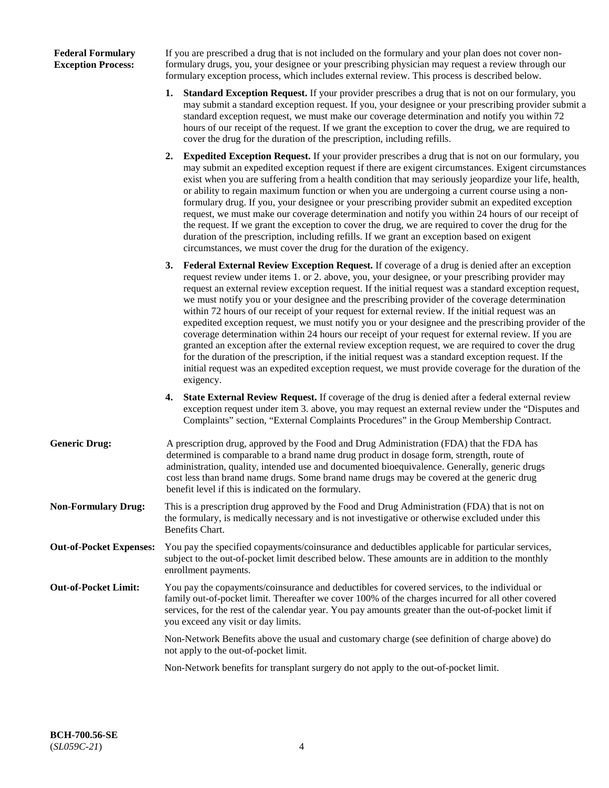# **Federal Formulary Exception Process:**

If you are prescribed a drug that is not included on the formulary and your plan does not cover nonformulary drugs, you, your designee or your prescribing physician may request a review through our formulary exception process, which includes external review. This process is described below.

- **1. Standard Exception Request.** If your provider prescribes a drug that is not on our formulary, you may submit a standard exception request. If you, your designee or your prescribing provider submit a standard exception request, we must make our coverage determination and notify you within 72 hours of our receipt of the request. If we grant the exception to cover the drug, we are required to cover the drug for the duration of the prescription, including refills.
- **2. Expedited Exception Request.** If your provider prescribes a drug that is not on our formulary, you may submit an expedited exception request if there are exigent circumstances. Exigent circumstances exist when you are suffering from a health condition that may seriously jeopardize your life, health, or ability to regain maximum function or when you are undergoing a current course using a nonformulary drug. If you, your designee or your prescribing provider submit an expedited exception request, we must make our coverage determination and notify you within 24 hours of our receipt of the request. If we grant the exception to cover the drug, we are required to cover the drug for the duration of the prescription, including refills. If we grant an exception based on exigent circumstances, we must cover the drug for the duration of the exigency.
- **3. Federal External Review Exception Request.** If coverage of a drug is denied after an exception request review under items 1. or 2. above, you, your designee, or your prescribing provider may request an external review exception request. If the initial request was a standard exception request, we must notify you or your designee and the prescribing provider of the coverage determination within 72 hours of our receipt of your request for external review. If the initial request was an expedited exception request, we must notify you or your designee and the prescribing provider of the coverage determination within 24 hours our receipt of your request for external review. If you are granted an exception after the external review exception request, we are required to cover the drug for the duration of the prescription, if the initial request was a standard exception request. If the initial request was an expedited exception request, we must provide coverage for the duration of the exigency.
- **4. State External Review Request.** If coverage of the drug is denied after a federal external review exception request under item 3. above, you may request an external review under the "Disputes and Complaints" section, "External Complaints Procedures" in the Group Membership Contract.
- **Generic Drug:** A prescription drug, approved by the Food and Drug Administration (FDA) that the FDA has determined is comparable to a brand name drug product in dosage form, strength, route of administration, quality, intended use and documented bioequivalence. Generally, generic drugs cost less than brand name drugs. Some brand name drugs may be covered at the generic drug benefit level if this is indicated on the formulary.
- **Non-Formulary Drug:** This is a prescription drug approved by the Food and Drug Administration (FDA) that is not on the formulary, is medically necessary and is not investigative or otherwise excluded under this Benefits Chart.
- **Out-of-Pocket Expenses:** You pay the specified copayments/coinsurance and deductibles applicable for particular services, subject to the out-of-pocket limit described below. These amounts are in addition to the monthly enrollment payments.
- **Out-of-Pocket Limit:** You pay the copayments/coinsurance and deductibles for covered services, to the individual or family out-of-pocket limit. Thereafter we cover 100% of the charges incurred for all other covered services, for the rest of the calendar year. You pay amounts greater than the out-of-pocket limit if you exceed any visit or day limits.

Non-Network Benefits above the usual and customary charge (see definition of charge above) do not apply to the out-of-pocket limit.

Non-Network benefits for transplant surgery do not apply to the out-of-pocket limit.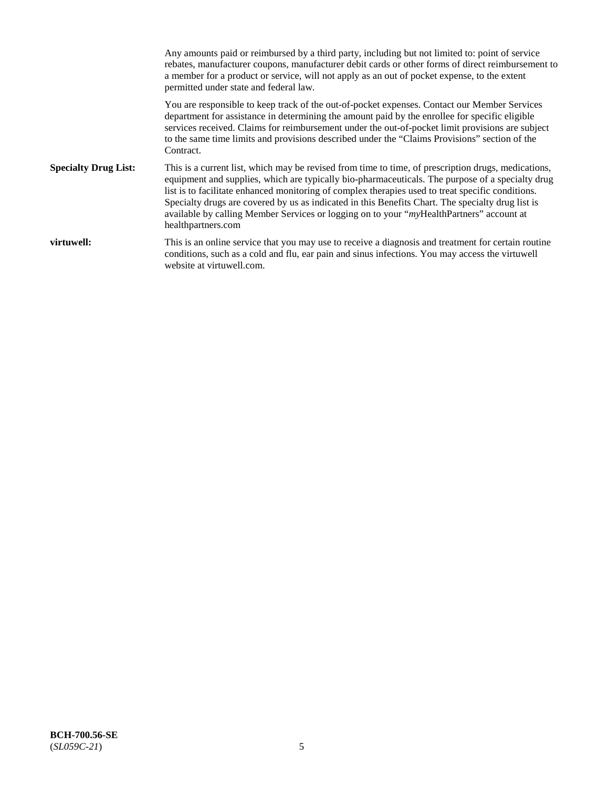Any amounts paid or reimbursed by a third party, including but not limited to: point of service rebates, manufacturer coupons, manufacturer debit cards or other forms of direct reimbursement to a member for a product or service, will not apply as an out of pocket expense, to the extent permitted under state and federal law. You are responsible to keep track of the out-of-pocket expenses. Contact our Member Services department for assistance in determining the amount paid by the enrollee for specific eligible services received. Claims for reimbursement under the out-of-pocket limit provisions are subject to the same time limits and provisions described under the "Claims Provisions" section of the Contract. **Specialty Drug List:** This is a current list, which may be revised from time to time, of prescription drugs, medications, equipment and supplies, which are typically bio-pharmaceuticals. The purpose of a specialty drug list is to facilitate enhanced monitoring of complex therapies used to treat specific conditions. Specialty drugs are covered by us as indicated in this Benefits Chart. The specialty drug list is available by calling Member Services or logging on to your "*my*HealthPartners" account at [healthpartners.com](https://www.healthpartners.com/hp/index.html) **virtuwell:** This is an online service that you may use to receive a diagnosis and treatment for certain routine conditions, such as a cold and flu, ear pain and sinus infections. You may access the virtuwell website at [virtuwell.com.](https://www.virtuwell.com/)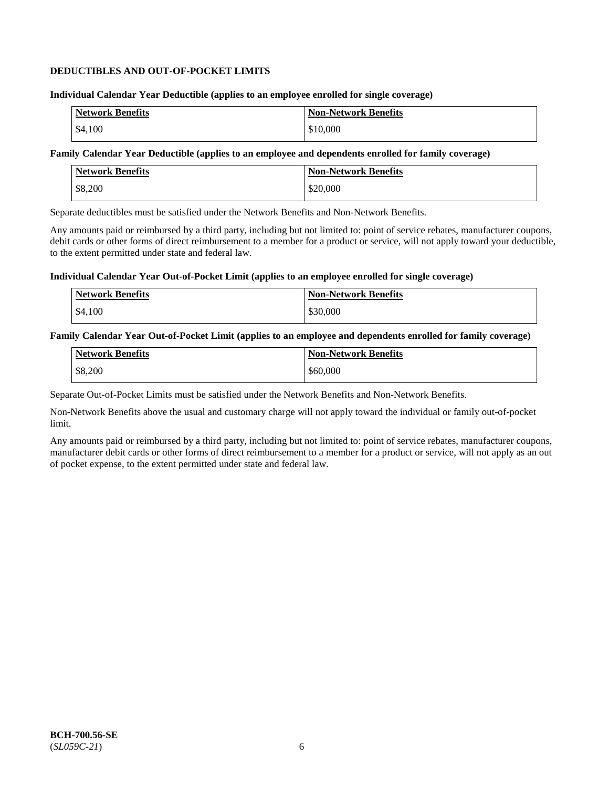# **DEDUCTIBLES AND OUT-OF-POCKET LIMITS**

### **Individual Calendar Year Deductible (applies to an employee enrolled for single coverage)**

| <b>Network Benefits</b> | <b>Non-Network Benefits</b> |
|-------------------------|-----------------------------|
| \$4,100                 | \$10,000                    |

# **Family Calendar Year Deductible (applies to an employee and dependents enrolled for family coverage)**

| Network Benefits | <b>Non-Network Benefits</b> |
|------------------|-----------------------------|
| \$8,200          | \$20,000                    |

Separate deductibles must be satisfied under the Network Benefits and Non-Network Benefits.

Any amounts paid or reimbursed by a third party, including but not limited to: point of service rebates, manufacturer coupons, debit cards or other forms of direct reimbursement to a member for a product or service, will not apply toward your deductible, to the extent permitted under state and federal law.

#### **Individual Calendar Year Out-of-Pocket Limit (applies to an employee enrolled for single coverage)**

| Network Benefits | <b>Non-Network Benefits</b> |
|------------------|-----------------------------|
| \$4,100          | \$30,000                    |

#### **Family Calendar Year Out-of-Pocket Limit (applies to an employee and dependents enrolled for family coverage)**

| <b>Network Benefits</b> | <b>Non-Network Benefits</b> |
|-------------------------|-----------------------------|
| \$8,200                 | \$60,000                    |

Separate Out-of-Pocket Limits must be satisfied under the Network Benefits and Non-Network Benefits.

Non-Network Benefits above the usual and customary charge will not apply toward the individual or family out-of-pocket limit.

Any amounts paid or reimbursed by a third party, including but not limited to: point of service rebates, manufacturer coupons, manufacturer debit cards or other forms of direct reimbursement to a member for a product or service, will not apply as an out of pocket expense, to the extent permitted under state and federal law.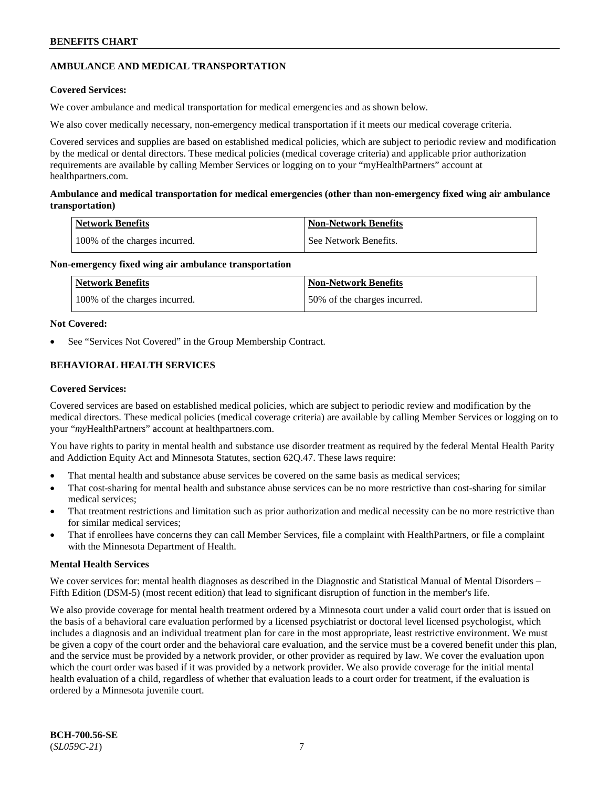# **AMBULANCE AND MEDICAL TRANSPORTATION**

# **Covered Services:**

We cover ambulance and medical transportation for medical emergencies and as shown below.

We also cover medically necessary, non-emergency medical transportation if it meets our medical coverage criteria.

Covered services and supplies are based on established medical policies, which are subject to periodic review and modification by the medical or dental directors. These medical policies (medical coverage criteria) and applicable prior authorization requirements are available by calling Member Services or logging on to your "myHealthPartners" account at [healthpartners.com.](https://www.healthpartners.com/hp/index.html)

# **Ambulance and medical transportation for medical emergencies (other than non-emergency fixed wing air ambulance transportation)**

| Network Benefits              | <b>Non-Network Benefits</b> |
|-------------------------------|-----------------------------|
| 100% of the charges incurred. | See Network Benefits.       |

# **Non-emergency fixed wing air ambulance transportation**

| <b>Network Benefits</b>       | <b>Non-Network Benefits</b>  |
|-------------------------------|------------------------------|
| 100% of the charges incurred. | 50% of the charges incurred. |

# **Not Covered:**

See "Services Not Covered" in the Group Membership Contract.

# **BEHAVIORAL HEALTH SERVICES**

# **Covered Services:**

Covered services are based on established medical policies, which are subject to periodic review and modification by the medical directors. These medical policies (medical coverage criteria) are available by calling Member Services or logging on to your "*my*HealthPartners" account at [healthpartners.com.](http://www.healthpartners.com/)

You have rights to parity in mental health and substance use disorder treatment as required by the federal Mental Health Parity and Addiction Equity Act and Minnesota Statutes, section 62Q.47. These laws require:

- That mental health and substance abuse services be covered on the same basis as medical services;
- That cost-sharing for mental health and substance abuse services can be no more restrictive than cost-sharing for similar medical services;
- That treatment restrictions and limitation such as prior authorization and medical necessity can be no more restrictive than for similar medical services;
- That if enrollees have concerns they can call Member Services, file a complaint with HealthPartners, or file a complaint with the Minnesota Department of Health.

# **Mental Health Services**

We cover services for: mental health diagnoses as described in the Diagnostic and Statistical Manual of Mental Disorders – Fifth Edition (DSM-5) (most recent edition) that lead to significant disruption of function in the member's life.

We also provide coverage for mental health treatment ordered by a Minnesota court under a valid court order that is issued on the basis of a behavioral care evaluation performed by a licensed psychiatrist or doctoral level licensed psychologist, which includes a diagnosis and an individual treatment plan for care in the most appropriate, least restrictive environment. We must be given a copy of the court order and the behavioral care evaluation, and the service must be a covered benefit under this plan, and the service must be provided by a network provider, or other provider as required by law. We cover the evaluation upon which the court order was based if it was provided by a network provider. We also provide coverage for the initial mental health evaluation of a child, regardless of whether that evaluation leads to a court order for treatment, if the evaluation is ordered by a Minnesota juvenile court.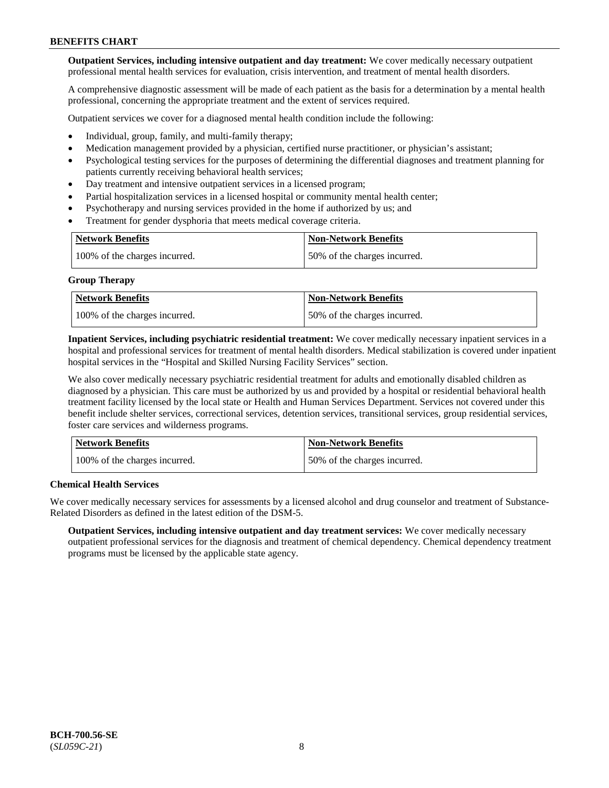**Outpatient Services, including intensive outpatient and day treatment:** We cover medically necessary outpatient professional mental health services for evaluation, crisis intervention, and treatment of mental health disorders.

A comprehensive diagnostic assessment will be made of each patient as the basis for a determination by a mental health professional, concerning the appropriate treatment and the extent of services required.

Outpatient services we cover for a diagnosed mental health condition include the following:

- Individual, group, family, and multi-family therapy;
- Medication management provided by a physician, certified nurse practitioner, or physician's assistant;
- Psychological testing services for the purposes of determining the differential diagnoses and treatment planning for patients currently receiving behavioral health services;
- Day treatment and intensive outpatient services in a licensed program;
- Partial hospitalization services in a licensed hospital or community mental health center;
- Psychotherapy and nursing services provided in the home if authorized by us; and
- Treatment for gender dysphoria that meets medical coverage criteria.

| <b>Network Benefits</b>       | <b>Non-Network Benefits</b>  |
|-------------------------------|------------------------------|
| 100% of the charges incurred. | 50% of the charges incurred. |

#### **Group Therapy**

| Network Benefits              | <b>Non-Network Benefits</b>  |
|-------------------------------|------------------------------|
| 100% of the charges incurred. | 50% of the charges incurred. |

**Inpatient Services, including psychiatric residential treatment:** We cover medically necessary inpatient services in a hospital and professional services for treatment of mental health disorders. Medical stabilization is covered under inpatient hospital services in the "Hospital and Skilled Nursing Facility Services" section.

We also cover medically necessary psychiatric residential treatment for adults and emotionally disabled children as diagnosed by a physician. This care must be authorized by us and provided by a hospital or residential behavioral health treatment facility licensed by the local state or Health and Human Services Department. Services not covered under this benefit include shelter services, correctional services, detention services, transitional services, group residential services, foster care services and wilderness programs.

| Network Benefits              | <b>Non-Network Benefits</b>  |
|-------------------------------|------------------------------|
| 100% of the charges incurred. | 50% of the charges incurred. |

# **Chemical Health Services**

We cover medically necessary services for assessments by a licensed alcohol and drug counselor and treatment of Substance-Related Disorders as defined in the latest edition of the DSM-5.

**Outpatient Services, including intensive outpatient and day treatment services:** We cover medically necessary outpatient professional services for the diagnosis and treatment of chemical dependency. Chemical dependency treatment programs must be licensed by the applicable state agency.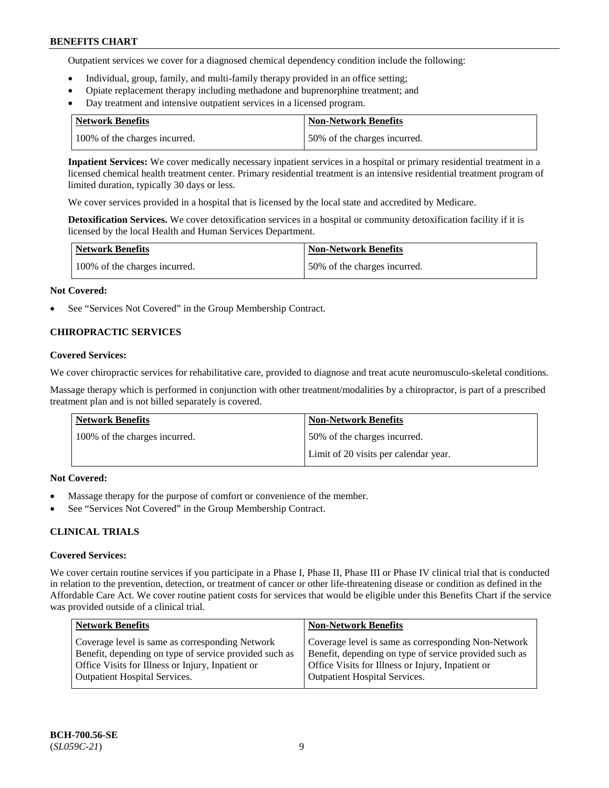Outpatient services we cover for a diagnosed chemical dependency condition include the following:

- Individual, group, family, and multi-family therapy provided in an office setting;
- Opiate replacement therapy including methadone and buprenorphine treatment; and
- Day treatment and intensive outpatient services in a licensed program.

| Network Benefits              | <b>Non-Network Benefits</b>  |
|-------------------------------|------------------------------|
| 100% of the charges incurred. | 50% of the charges incurred. |

**Inpatient Services:** We cover medically necessary inpatient services in a hospital or primary residential treatment in a licensed chemical health treatment center. Primary residential treatment is an intensive residential treatment program of limited duration, typically 30 days or less.

We cover services provided in a hospital that is licensed by the local state and accredited by Medicare.

**Detoxification Services.** We cover detoxification services in a hospital or community detoxification facility if it is licensed by the local Health and Human Services Department.

| <b>Network Benefits</b>       | <b>Non-Network Benefits</b>  |
|-------------------------------|------------------------------|
| 100% of the charges incurred. | 50% of the charges incurred. |

# **Not Covered:**

See "Services Not Covered" in the Group Membership Contract.

# **CHIROPRACTIC SERVICES**

# **Covered Services:**

We cover chiropractic services for rehabilitative care, provided to diagnose and treat acute neuromusculo-skeletal conditions.

Massage therapy which is performed in conjunction with other treatment/modalities by a chiropractor, is part of a prescribed treatment plan and is not billed separately is covered.

| Network Benefits              | <b>Non-Network Benefits</b>           |
|-------------------------------|---------------------------------------|
| 100% of the charges incurred. | 50% of the charges incurred.          |
|                               | Limit of 20 visits per calendar year. |

# **Not Covered:**

- Massage therapy for the purpose of comfort or convenience of the member.
- See "Services Not Covered" in the Group Membership Contract.

# **CLINICAL TRIALS**

# **Covered Services:**

We cover certain routine services if you participate in a Phase I, Phase II, Phase III or Phase IV clinical trial that is conducted in relation to the prevention, detection, or treatment of cancer or other life-threatening disease or condition as defined in the Affordable Care Act. We cover routine patient costs for services that would be eligible under this Benefits Chart if the service was provided outside of a clinical trial.

| <b>Network Benefits</b>                                                                                                                                                                                | <b>Non-Network Benefits</b>                                                                                                                                                                                |
|--------------------------------------------------------------------------------------------------------------------------------------------------------------------------------------------------------|------------------------------------------------------------------------------------------------------------------------------------------------------------------------------------------------------------|
| Coverage level is same as corresponding Network<br>Benefit, depending on type of service provided such as<br>Office Visits for Illness or Injury, Inpatient or<br><b>Outpatient Hospital Services.</b> | Coverage level is same as corresponding Non-Network<br>Benefit, depending on type of service provided such as<br>Office Visits for Illness or Injury, Inpatient or<br><b>Outpatient Hospital Services.</b> |
|                                                                                                                                                                                                        |                                                                                                                                                                                                            |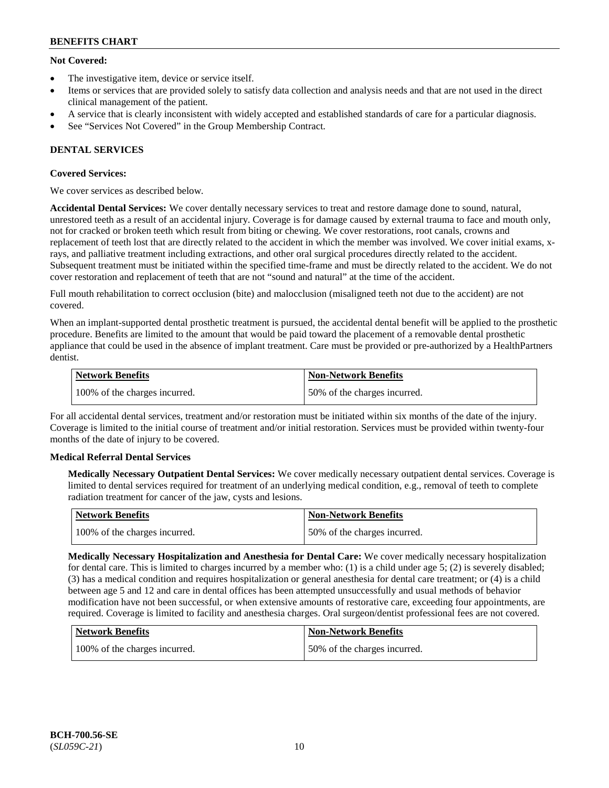# **Not Covered:**

- The investigative item, device or service itself.
- Items or services that are provided solely to satisfy data collection and analysis needs and that are not used in the direct clinical management of the patient.
- A service that is clearly inconsistent with widely accepted and established standards of care for a particular diagnosis.
- See "Services Not Covered" in the Group Membership Contract.

# **DENTAL SERVICES**

# **Covered Services:**

We cover services as described below.

**Accidental Dental Services:** We cover dentally necessary services to treat and restore damage done to sound, natural, unrestored teeth as a result of an accidental injury. Coverage is for damage caused by external trauma to face and mouth only, not for cracked or broken teeth which result from biting or chewing. We cover restorations, root canals, crowns and replacement of teeth lost that are directly related to the accident in which the member was involved. We cover initial exams, xrays, and palliative treatment including extractions, and other oral surgical procedures directly related to the accident. Subsequent treatment must be initiated within the specified time-frame and must be directly related to the accident. We do not cover restoration and replacement of teeth that are not "sound and natural" at the time of the accident.

Full mouth rehabilitation to correct occlusion (bite) and malocclusion (misaligned teeth not due to the accident) are not covered.

When an implant-supported dental prosthetic treatment is pursued, the accidental dental benefit will be applied to the prosthetic procedure. Benefits are limited to the amount that would be paid toward the placement of a removable dental prosthetic appliance that could be used in the absence of implant treatment. Care must be provided or pre-authorized by a HealthPartners dentist.

| Network Benefits              | <b>Non-Network Benefits</b>  |
|-------------------------------|------------------------------|
| 100% of the charges incurred. | 50% of the charges incurred. |

For all accidental dental services, treatment and/or restoration must be initiated within six months of the date of the injury. Coverage is limited to the initial course of treatment and/or initial restoration. Services must be provided within twenty-four months of the date of injury to be covered.

# **Medical Referral Dental Services**

**Medically Necessary Outpatient Dental Services:** We cover medically necessary outpatient dental services. Coverage is limited to dental services required for treatment of an underlying medical condition, e.g., removal of teeth to complete radiation treatment for cancer of the jaw, cysts and lesions.

| Network Benefits              | Non-Network Benefits         |
|-------------------------------|------------------------------|
| 100% of the charges incurred. | 50% of the charges incurred. |

**Medically Necessary Hospitalization and Anesthesia for Dental Care:** We cover medically necessary hospitalization for dental care. This is limited to charges incurred by a member who: (1) is a child under age  $5$ ; (2) is severely disabled; (3) has a medical condition and requires hospitalization or general anesthesia for dental care treatment; or (4) is a child between age 5 and 12 and care in dental offices has been attempted unsuccessfully and usual methods of behavior modification have not been successful, or when extensive amounts of restorative care, exceeding four appointments, are required. Coverage is limited to facility and anesthesia charges. Oral surgeon/dentist professional fees are not covered.

| Network Benefits              | <b>Non-Network Benefits</b>  |
|-------------------------------|------------------------------|
| 100% of the charges incurred. | 50% of the charges incurred. |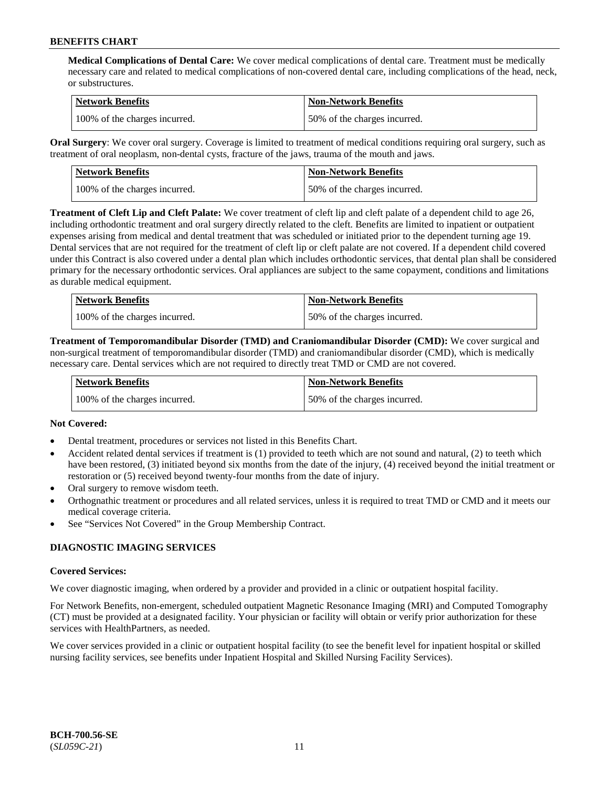**Medical Complications of Dental Care:** We cover medical complications of dental care. Treatment must be medically necessary care and related to medical complications of non-covered dental care, including complications of the head, neck, or substructures.

| Network Benefits              | <b>Non-Network Benefits</b>  |
|-------------------------------|------------------------------|
| 100% of the charges incurred. | 50% of the charges incurred. |

**Oral Surgery**: We cover oral surgery. Coverage is limited to treatment of medical conditions requiring oral surgery, such as treatment of oral neoplasm, non-dental cysts, fracture of the jaws, trauma of the mouth and jaws.

| Network Benefits              | <b>Non-Network Benefits</b>  |
|-------------------------------|------------------------------|
| 100% of the charges incurred. | 50% of the charges incurred. |

**Treatment of Cleft Lip and Cleft Palate:** We cover treatment of cleft lip and cleft palate of a dependent child to age 26, including orthodontic treatment and oral surgery directly related to the cleft. Benefits are limited to inpatient or outpatient expenses arising from medical and dental treatment that was scheduled or initiated prior to the dependent turning age 19. Dental services that are not required for the treatment of cleft lip or cleft palate are not covered. If a dependent child covered under this Contract is also covered under a dental plan which includes orthodontic services, that dental plan shall be considered primary for the necessary orthodontic services. Oral appliances are subject to the same copayment, conditions and limitations as durable medical equipment.

| <b>Network Benefits</b>       | <b>Non-Network Benefits</b>  |
|-------------------------------|------------------------------|
| 100% of the charges incurred. | 50% of the charges incurred. |

**Treatment of Temporomandibular Disorder (TMD) and Craniomandibular Disorder (CMD):** We cover surgical and non-surgical treatment of temporomandibular disorder (TMD) and craniomandibular disorder (CMD), which is medically necessary care. Dental services which are not required to directly treat TMD or CMD are not covered.

| <b>Network Benefits</b>       | <b>Non-Network Benefits</b>  |
|-------------------------------|------------------------------|
| 100% of the charges incurred. | 50% of the charges incurred. |

# **Not Covered:**

- Dental treatment, procedures or services not listed in this Benefits Chart.
- Accident related dental services if treatment is (1) provided to teeth which are not sound and natural, (2) to teeth which have been restored, (3) initiated beyond six months from the date of the injury, (4) received beyond the initial treatment or restoration or (5) received beyond twenty-four months from the date of injury.
- Oral surgery to remove wisdom teeth.
- Orthognathic treatment or procedures and all related services, unless it is required to treat TMD or CMD and it meets our medical coverage criteria.
- See "Services Not Covered" in the Group Membership Contract.

# **DIAGNOSTIC IMAGING SERVICES**

#### **Covered Services:**

We cover diagnostic imaging, when ordered by a provider and provided in a clinic or outpatient hospital facility.

For Network Benefits, non-emergent, scheduled outpatient Magnetic Resonance Imaging (MRI) and Computed Tomography (CT) must be provided at a designated facility. Your physician or facility will obtain or verify prior authorization for these services with HealthPartners, as needed.

We cover services provided in a clinic or outpatient hospital facility (to see the benefit level for inpatient hospital or skilled nursing facility services, see benefits under Inpatient Hospital and Skilled Nursing Facility Services).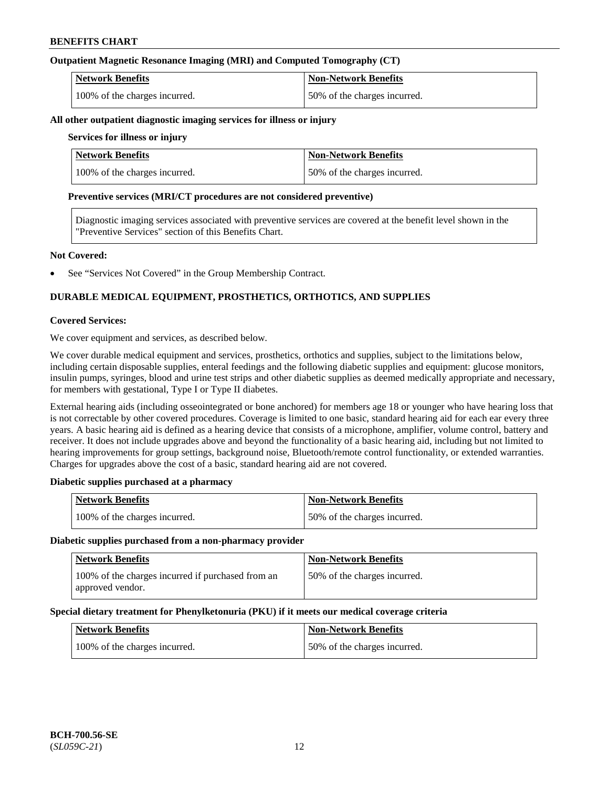# **Outpatient Magnetic Resonance Imaging (MRI) and Computed Tomography (CT)**

| <b>Network Benefits</b>       | <b>Non-Network Benefits</b>  |
|-------------------------------|------------------------------|
| 100% of the charges incurred. | 50% of the charges incurred. |

#### **All other outpatient diagnostic imaging services for illness or injury**

### **Services for illness or injury**

| <b>Network Benefits</b>       | Non-Network Benefits         |
|-------------------------------|------------------------------|
| 100% of the charges incurred. | 50% of the charges incurred. |

#### **Preventive services (MRI/CT procedures are not considered preventive)**

Diagnostic imaging services associated with preventive services are covered at the benefit level shown in the "Preventive Services" section of this Benefits Chart.

#### **Not Covered:**

See "Services Not Covered" in the Group Membership Contract.

# **DURABLE MEDICAL EQUIPMENT, PROSTHETICS, ORTHOTICS, AND SUPPLIES**

#### **Covered Services:**

We cover equipment and services, as described below.

We cover durable medical equipment and services, prosthetics, orthotics and supplies, subject to the limitations below, including certain disposable supplies, enteral feedings and the following diabetic supplies and equipment: glucose monitors, insulin pumps, syringes, blood and urine test strips and other diabetic supplies as deemed medically appropriate and necessary, for members with gestational, Type I or Type II diabetes.

External hearing aids (including osseointegrated or bone anchored) for members age 18 or younger who have hearing loss that is not correctable by other covered procedures. Coverage is limited to one basic, standard hearing aid for each ear every three years. A basic hearing aid is defined as a hearing device that consists of a microphone, amplifier, volume control, battery and receiver. It does not include upgrades above and beyond the functionality of a basic hearing aid, including but not limited to hearing improvements for group settings, background noise, Bluetooth/remote control functionality, or extended warranties. Charges for upgrades above the cost of a basic, standard hearing aid are not covered.

# **Diabetic supplies purchased at a pharmacy**

| <b>Network Benefits</b>       | <b>Non-Network Benefits</b>  |
|-------------------------------|------------------------------|
| 100% of the charges incurred. | 50% of the charges incurred. |

#### **Diabetic supplies purchased from a non-pharmacy provider**

| <b>Network Benefits</b>                                               | <b>Non-Network Benefits</b>  |
|-----------------------------------------------------------------------|------------------------------|
| 100% of the charges incurred if purchased from an<br>approved vendor. | 50% of the charges incurred. |

#### **Special dietary treatment for Phenylketonuria (PKU) if it meets our medical coverage criteria**

| <b>Network Benefits</b>       | <b>Non-Network Benefits</b>  |
|-------------------------------|------------------------------|
| 100% of the charges incurred. | 50% of the charges incurred. |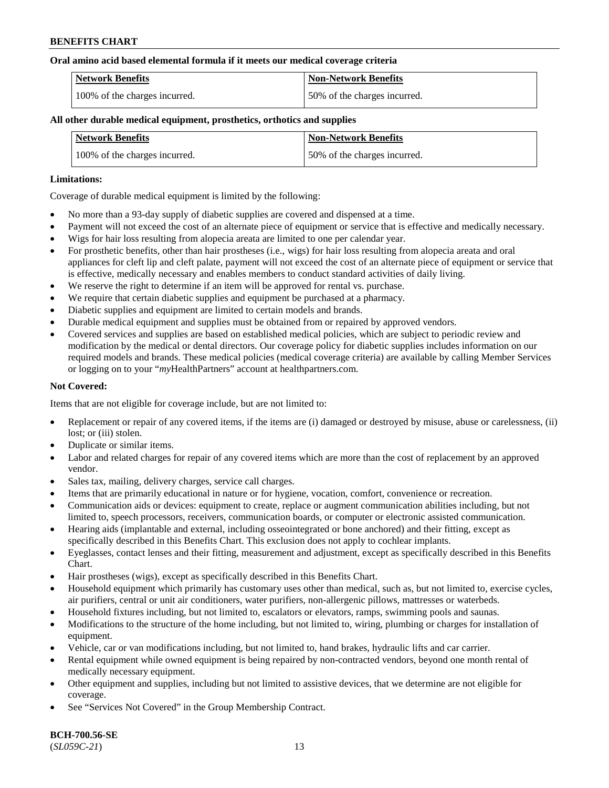#### **Oral amino acid based elemental formula if it meets our medical coverage criteria**

| Network Benefits              | <b>Non-Network Benefits</b>  |
|-------------------------------|------------------------------|
| 100% of the charges incurred. | 50% of the charges incurred. |

### **All other durable medical equipment, prosthetics, orthotics and supplies**

| <b>Network Benefits</b>       | <b>Non-Network Benefits</b>  |
|-------------------------------|------------------------------|
| 100% of the charges incurred. | 50% of the charges incurred. |

#### **Limitations:**

Coverage of durable medical equipment is limited by the following:

- No more than a 93-day supply of diabetic supplies are covered and dispensed at a time.
- Payment will not exceed the cost of an alternate piece of equipment or service that is effective and medically necessary.
- Wigs for hair loss resulting from alopecia areata are limited to one per calendar year.
- For prosthetic benefits, other than hair prostheses (i.e., wigs) for hair loss resulting from alopecia areata and oral appliances for cleft lip and cleft palate, payment will not exceed the cost of an alternate piece of equipment or service that is effective, medically necessary and enables members to conduct standard activities of daily living.
- We reserve the right to determine if an item will be approved for rental vs. purchase.
- We require that certain diabetic supplies and equipment be purchased at a pharmacy.
- Diabetic supplies and equipment are limited to certain models and brands.
- Durable medical equipment and supplies must be obtained from or repaired by approved vendors.
- Covered services and supplies are based on established medical policies, which are subject to periodic review and modification by the medical or dental directors. Our coverage policy for diabetic supplies includes information on our required models and brands. These medical policies (medical coverage criteria) are available by calling Member Services or logging on to your "*my*HealthPartners" account a[t healthpartners.com.](https://www.healthpartners.com/hp/index.html)

# **Not Covered:**

Items that are not eligible for coverage include, but are not limited to:

- Replacement or repair of any covered items, if the items are (i) damaged or destroyed by misuse, abuse or carelessness, (ii) lost; or (iii) stolen.
- Duplicate or similar items.
- Labor and related charges for repair of any covered items which are more than the cost of replacement by an approved vendor.
- Sales tax, mailing, delivery charges, service call charges.
- Items that are primarily educational in nature or for hygiene, vocation, comfort, convenience or recreation.
- Communication aids or devices: equipment to create, replace or augment communication abilities including, but not limited to, speech processors, receivers, communication boards, or computer or electronic assisted communication.
- Hearing aids (implantable and external, including osseointegrated or bone anchored) and their fitting, except as specifically described in this Benefits Chart. This exclusion does not apply to cochlear implants.
- Eyeglasses, contact lenses and their fitting, measurement and adjustment, except as specifically described in this Benefits Chart.
- Hair prostheses (wigs), except as specifically described in this Benefits Chart.
- Household equipment which primarily has customary uses other than medical, such as, but not limited to, exercise cycles, air purifiers, central or unit air conditioners, water purifiers, non-allergenic pillows, mattresses or waterbeds.
- Household fixtures including, but not limited to, escalators or elevators, ramps, swimming pools and saunas.
- Modifications to the structure of the home including, but not limited to, wiring, plumbing or charges for installation of equipment.
- Vehicle, car or van modifications including, but not limited to, hand brakes, hydraulic lifts and car carrier.
- Rental equipment while owned equipment is being repaired by non-contracted vendors, beyond one month rental of medically necessary equipment.
- Other equipment and supplies, including but not limited to assistive devices, that we determine are not eligible for coverage.
- See "Services Not Covered" in the Group Membership Contract.

**BCH-700.56-SE** (*SL059C-21*) 13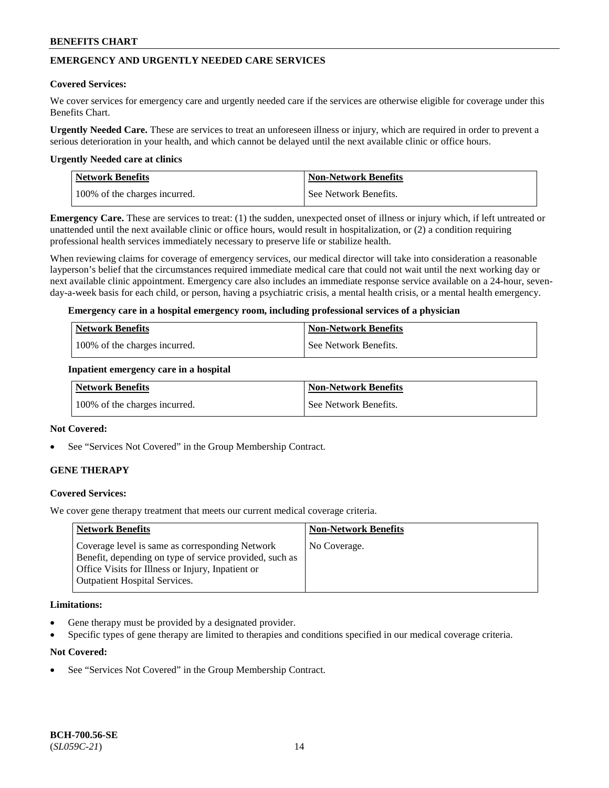# **EMERGENCY AND URGENTLY NEEDED CARE SERVICES**

#### **Covered Services:**

We cover services for emergency care and urgently needed care if the services are otherwise eligible for coverage under this Benefits Chart.

**Urgently Needed Care.** These are services to treat an unforeseen illness or injury, which are required in order to prevent a serious deterioration in your health, and which cannot be delayed until the next available clinic or office hours.

#### **Urgently Needed care at clinics**

| <b>Network Benefits</b>       | <b>Non-Network Benefits</b> |
|-------------------------------|-----------------------------|
| 100% of the charges incurred. | See Network Benefits.       |

**Emergency Care.** These are services to treat: (1) the sudden, unexpected onset of illness or injury which, if left untreated or unattended until the next available clinic or office hours, would result in hospitalization, or (2) a condition requiring professional health services immediately necessary to preserve life or stabilize health.

When reviewing claims for coverage of emergency services, our medical director will take into consideration a reasonable layperson's belief that the circumstances required immediate medical care that could not wait until the next working day or next available clinic appointment. Emergency care also includes an immediate response service available on a 24-hour, sevenday-a-week basis for each child, or person, having a psychiatric crisis, a mental health crisis, or a mental health emergency.

#### **Emergency care in a hospital emergency room, including professional services of a physician**

| <b>Network Benefits</b>       | Non-Network Benefits    |
|-------------------------------|-------------------------|
| 100% of the charges incurred. | l See Network Benefits. |

#### **Inpatient emergency care in a hospital**

| Network Benefits              | <b>Non-Network Benefits</b> |
|-------------------------------|-----------------------------|
| 100% of the charges incurred. | See Network Benefits.       |

#### **Not Covered:**

See "Services Not Covered" in the Group Membership Contract.

# **GENE THERAPY**

# **Covered Services:**

We cover gene therapy treatment that meets our current medical coverage criteria.

| <b>Network Benefits</b>                                                                                                                                                                                 | <b>Non-Network Benefits</b> |
|---------------------------------------------------------------------------------------------------------------------------------------------------------------------------------------------------------|-----------------------------|
| Coverage level is same as corresponding Network<br>Benefit, depending on type of service provided, such as<br>Office Visits for Illness or Injury, Inpatient or<br><b>Outpatient Hospital Services.</b> | No Coverage.                |

#### **Limitations:**

- Gene therapy must be provided by a designated provider.
- Specific types of gene therapy are limited to therapies and conditions specified in our medical coverage criteria.

# **Not Covered:**

See "Services Not Covered" in the Group Membership Contract.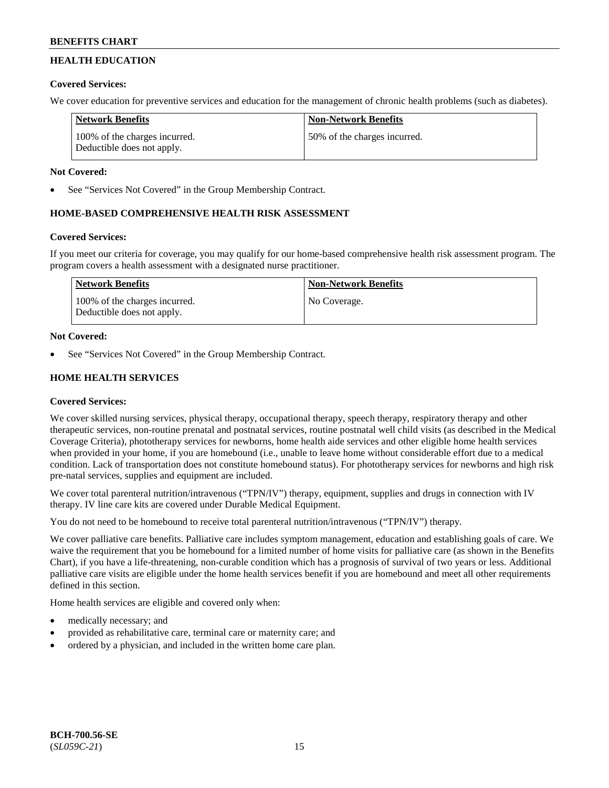# **HEALTH EDUCATION**

# **Covered Services:**

We cover education for preventive services and education for the management of chronic health problems (such as diabetes).

| <b>Network Benefits</b>                                     | <b>Non-Network Benefits</b>  |
|-------------------------------------------------------------|------------------------------|
| 100% of the charges incurred.<br>Deductible does not apply. | 50% of the charges incurred. |

# **Not Covered:**

See "Services Not Covered" in the Group Membership Contract.

# **HOME-BASED COMPREHENSIVE HEALTH RISK ASSESSMENT**

# **Covered Services:**

If you meet our criteria for coverage, you may qualify for our home-based comprehensive health risk assessment program. The program covers a health assessment with a designated nurse practitioner.

| Network Benefits                                            | <b>Non-Network Benefits</b> |
|-------------------------------------------------------------|-----------------------------|
| 100% of the charges incurred.<br>Deductible does not apply. | No Coverage.                |

# **Not Covered:**

See "Services Not Covered" in the Group Membership Contract.

# **HOME HEALTH SERVICES**

# **Covered Services:**

We cover skilled nursing services, physical therapy, occupational therapy, speech therapy, respiratory therapy and other therapeutic services, non-routine prenatal and postnatal services, routine postnatal well child visits (as described in the Medical Coverage Criteria), phototherapy services for newborns, home health aide services and other eligible home health services when provided in your home, if you are homebound (i.e., unable to leave home without considerable effort due to a medical condition. Lack of transportation does not constitute homebound status). For phototherapy services for newborns and high risk pre-natal services, supplies and equipment are included.

We cover total parenteral nutrition/intravenous ("TPN/IV") therapy, equipment, supplies and drugs in connection with IV therapy. IV line care kits are covered under Durable Medical Equipment.

You do not need to be homebound to receive total parenteral nutrition/intravenous ("TPN/IV") therapy.

We cover palliative care benefits. Palliative care includes symptom management, education and establishing goals of care. We waive the requirement that you be homebound for a limited number of home visits for palliative care (as shown in the Benefits Chart), if you have a life-threatening, non-curable condition which has a prognosis of survival of two years or less. Additional palliative care visits are eligible under the home health services benefit if you are homebound and meet all other requirements defined in this section.

Home health services are eligible and covered only when:

- medically necessary; and
- provided as rehabilitative care, terminal care or maternity care; and
- ordered by a physician, and included in the written home care plan.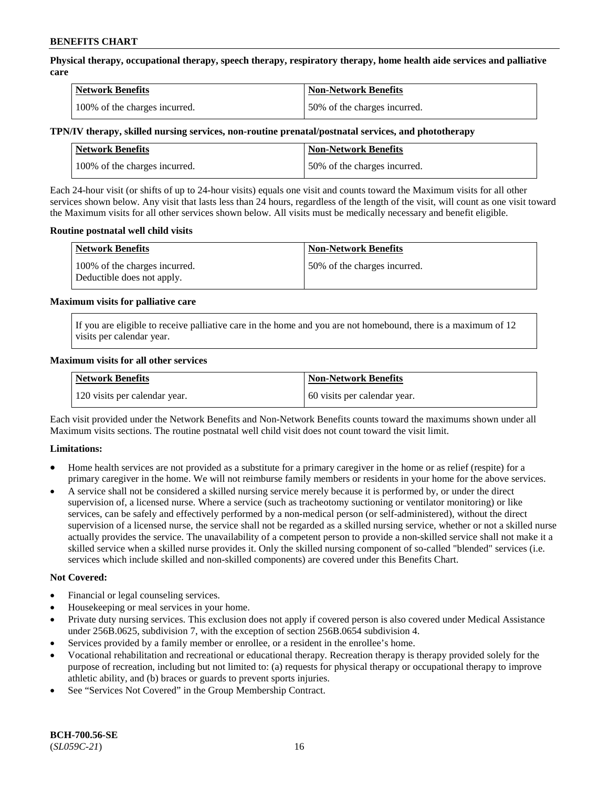**Physical therapy, occupational therapy, speech therapy, respiratory therapy, home health aide services and palliative care**

| <b>Network Benefits</b>       | <b>Non-Network Benefits</b>  |
|-------------------------------|------------------------------|
| 100% of the charges incurred. | 50% of the charges incurred. |

# **TPN/IV therapy, skilled nursing services, non-routine prenatal/postnatal services, and phototherapy**

| <b>Network Benefits</b>       | <b>Non-Network Benefits</b>  |
|-------------------------------|------------------------------|
| 100% of the charges incurred. | 50% of the charges incurred. |

Each 24-hour visit (or shifts of up to 24-hour visits) equals one visit and counts toward the Maximum visits for all other services shown below. Any visit that lasts less than 24 hours, regardless of the length of the visit, will count as one visit toward the Maximum visits for all other services shown below. All visits must be medically necessary and benefit eligible.

#### **Routine postnatal well child visits**

| Network Benefits                                            | <b>Non-Network Benefits</b>  |
|-------------------------------------------------------------|------------------------------|
| 100% of the charges incurred.<br>Deductible does not apply. | 50% of the charges incurred. |

#### **Maximum visits for palliative care**

If you are eligible to receive palliative care in the home and you are not homebound, there is a maximum of 12 visits per calendar year.

#### **Maximum visits for all other services**

| <b>Network Benefits</b>       | <b>Non-Network Benefits</b>  |
|-------------------------------|------------------------------|
| 120 visits per calendar year. | 60 visits per calendar year. |

Each visit provided under the Network Benefits and Non-Network Benefits counts toward the maximums shown under all Maximum visits sections. The routine postnatal well child visit does not count toward the visit limit.

# **Limitations:**

- Home health services are not provided as a substitute for a primary caregiver in the home or as relief (respite) for a primary caregiver in the home. We will not reimburse family members or residents in your home for the above services.
- A service shall not be considered a skilled nursing service merely because it is performed by, or under the direct supervision of, a licensed nurse. Where a service (such as tracheotomy suctioning or ventilator monitoring) or like services, can be safely and effectively performed by a non-medical person (or self-administered), without the direct supervision of a licensed nurse, the service shall not be regarded as a skilled nursing service, whether or not a skilled nurse actually provides the service. The unavailability of a competent person to provide a non-skilled service shall not make it a skilled service when a skilled nurse provides it. Only the skilled nursing component of so-called "blended" services (i.e. services which include skilled and non-skilled components) are covered under this Benefits Chart.

#### **Not Covered:**

- Financial or legal counseling services.
- Housekeeping or meal services in your home.
- Private duty nursing services. This exclusion does not apply if covered person is also covered under Medical Assistance under 256B.0625, subdivision 7, with the exception of section 256B.0654 subdivision 4.
- Services provided by a family member or enrollee, or a resident in the enrollee's home.
- Vocational rehabilitation and recreational or educational therapy. Recreation therapy is therapy provided solely for the purpose of recreation, including but not limited to: (a) requests for physical therapy or occupational therapy to improve athletic ability, and (b) braces or guards to prevent sports injuries.
- See "Services Not Covered" in the Group Membership Contract.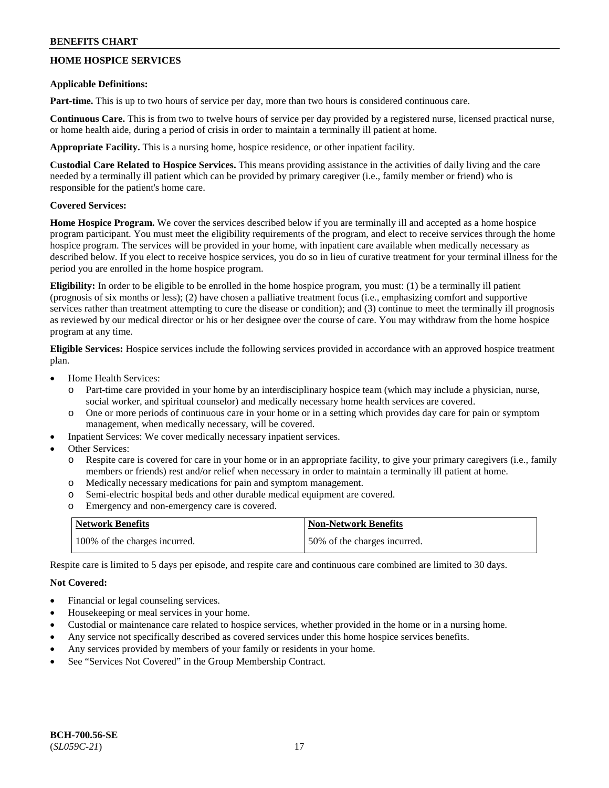# **HOME HOSPICE SERVICES**

### **Applicable Definitions:**

**Part-time.** This is up to two hours of service per day, more than two hours is considered continuous care.

**Continuous Care.** This is from two to twelve hours of service per day provided by a registered nurse, licensed practical nurse, or home health aide, during a period of crisis in order to maintain a terminally ill patient at home.

**Appropriate Facility.** This is a nursing home, hospice residence, or other inpatient facility.

**Custodial Care Related to Hospice Services.** This means providing assistance in the activities of daily living and the care needed by a terminally ill patient which can be provided by primary caregiver (i.e., family member or friend) who is responsible for the patient's home care.

# **Covered Services:**

**Home Hospice Program.** We cover the services described below if you are terminally ill and accepted as a home hospice program participant. You must meet the eligibility requirements of the program, and elect to receive services through the home hospice program. The services will be provided in your home, with inpatient care available when medically necessary as described below. If you elect to receive hospice services, you do so in lieu of curative treatment for your terminal illness for the period you are enrolled in the home hospice program.

**Eligibility:** In order to be eligible to be enrolled in the home hospice program, you must: (1) be a terminally ill patient (prognosis of six months or less); (2) have chosen a palliative treatment focus (i.e., emphasizing comfort and supportive services rather than treatment attempting to cure the disease or condition); and (3) continue to meet the terminally ill prognosis as reviewed by our medical director or his or her designee over the course of care. You may withdraw from the home hospice program at any time.

**Eligible Services:** Hospice services include the following services provided in accordance with an approved hospice treatment plan.

- Home Health Services:
	- o Part-time care provided in your home by an interdisciplinary hospice team (which may include a physician, nurse, social worker, and spiritual counselor) and medically necessary home health services are covered.
	- o One or more periods of continuous care in your home or in a setting which provides day care for pain or symptom management, when medically necessary, will be covered.
- Inpatient Services: We cover medically necessary inpatient services.
- Other Services:
	- o Respite care is covered for care in your home or in an appropriate facility, to give your primary caregivers (i.e., family members or friends) rest and/or relief when necessary in order to maintain a terminally ill patient at home.
	- o Medically necessary medications for pain and symptom management.
	- o Semi-electric hospital beds and other durable medical equipment are covered.
	- o Emergency and non-emergency care is covered.

| <b>Network Benefits</b>       | <b>Non-Network Benefits</b>  |
|-------------------------------|------------------------------|
| 100% of the charges incurred. | 50% of the charges incurred. |

Respite care is limited to 5 days per episode, and respite care and continuous care combined are limited to 30 days.

# **Not Covered:**

- Financial or legal counseling services.
- Housekeeping or meal services in your home.
- Custodial or maintenance care related to hospice services, whether provided in the home or in a nursing home.
- Any service not specifically described as covered services under this home hospice services benefits.
- Any services provided by members of your family or residents in your home.
- See "Services Not Covered" in the Group Membership Contract.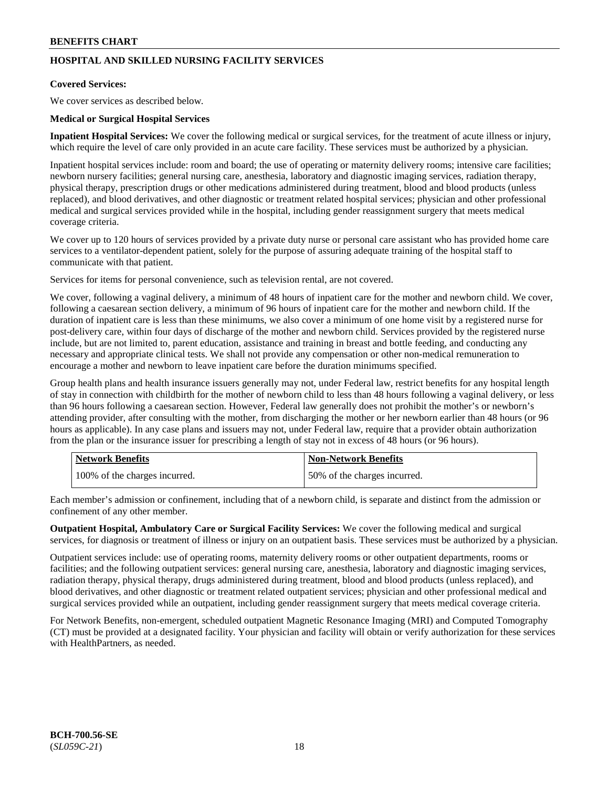# **HOSPITAL AND SKILLED NURSING FACILITY SERVICES**

# **Covered Services:**

We cover services as described below.

### **Medical or Surgical Hospital Services**

**Inpatient Hospital Services:** We cover the following medical or surgical services, for the treatment of acute illness or injury, which require the level of care only provided in an acute care facility. These services must be authorized by a physician.

Inpatient hospital services include: room and board; the use of operating or maternity delivery rooms; intensive care facilities; newborn nursery facilities; general nursing care, anesthesia, laboratory and diagnostic imaging services, radiation therapy, physical therapy, prescription drugs or other medications administered during treatment, blood and blood products (unless replaced), and blood derivatives, and other diagnostic or treatment related hospital services; physician and other professional medical and surgical services provided while in the hospital, including gender reassignment surgery that meets medical coverage criteria.

We cover up to 120 hours of services provided by a private duty nurse or personal care assistant who has provided home care services to a ventilator-dependent patient, solely for the purpose of assuring adequate training of the hospital staff to communicate with that patient.

Services for items for personal convenience, such as television rental, are not covered.

We cover, following a vaginal delivery, a minimum of 48 hours of inpatient care for the mother and newborn child. We cover, following a caesarean section delivery, a minimum of 96 hours of inpatient care for the mother and newborn child. If the duration of inpatient care is less than these minimums, we also cover a minimum of one home visit by a registered nurse for post-delivery care, within four days of discharge of the mother and newborn child. Services provided by the registered nurse include, but are not limited to, parent education, assistance and training in breast and bottle feeding, and conducting any necessary and appropriate clinical tests. We shall not provide any compensation or other non-medical remuneration to encourage a mother and newborn to leave inpatient care before the duration minimums specified.

Group health plans and health insurance issuers generally may not, under Federal law, restrict benefits for any hospital length of stay in connection with childbirth for the mother of newborn child to less than 48 hours following a vaginal delivery, or less than 96 hours following a caesarean section. However, Federal law generally does not prohibit the mother's or newborn's attending provider, after consulting with the mother, from discharging the mother or her newborn earlier than 48 hours (or 96 hours as applicable). In any case plans and issuers may not, under Federal law, require that a provider obtain authorization from the plan or the insurance issuer for prescribing a length of stay not in excess of 48 hours (or 96 hours).

| <b>Network Benefits</b>       | Non-Network Benefits         |
|-------------------------------|------------------------------|
| 100% of the charges incurred. | 50% of the charges incurred. |

Each member's admission or confinement, including that of a newborn child, is separate and distinct from the admission or confinement of any other member.

**Outpatient Hospital, Ambulatory Care or Surgical Facility Services:** We cover the following medical and surgical services, for diagnosis or treatment of illness or injury on an outpatient basis. These services must be authorized by a physician.

Outpatient services include: use of operating rooms, maternity delivery rooms or other outpatient departments, rooms or facilities; and the following outpatient services: general nursing care, anesthesia, laboratory and diagnostic imaging services, radiation therapy, physical therapy, drugs administered during treatment, blood and blood products (unless replaced), and blood derivatives, and other diagnostic or treatment related outpatient services; physician and other professional medical and surgical services provided while an outpatient, including gender reassignment surgery that meets medical coverage criteria.

For Network Benefits, non-emergent, scheduled outpatient Magnetic Resonance Imaging (MRI) and Computed Tomography (CT) must be provided at a designated facility. Your physician and facility will obtain or verify authorization for these services with HealthPartners, as needed.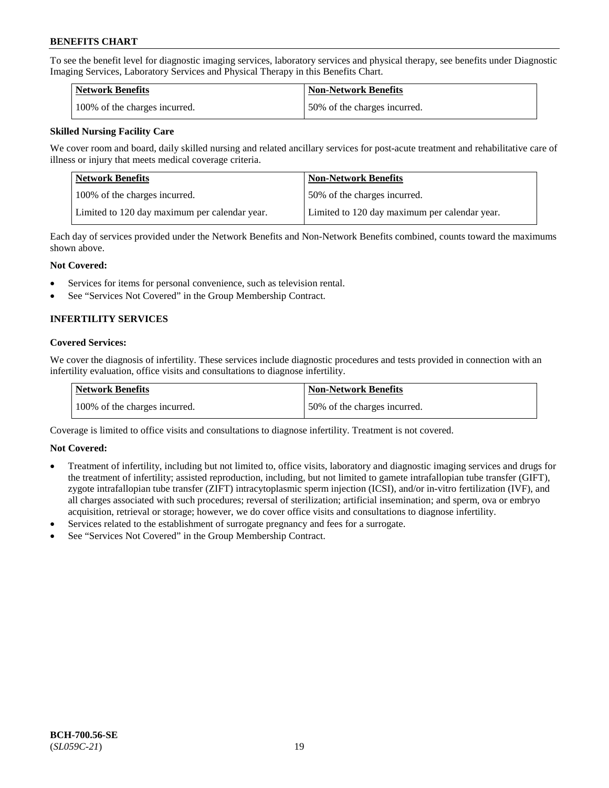To see the benefit level for diagnostic imaging services, laboratory services and physical therapy, see benefits under Diagnostic Imaging Services, Laboratory Services and Physical Therapy in this Benefits Chart.

| <b>Network Benefits</b>       | Non-Network Benefits         |
|-------------------------------|------------------------------|
| 100% of the charges incurred. | 50% of the charges incurred. |

# **Skilled Nursing Facility Care**

We cover room and board, daily skilled nursing and related ancillary services for post-acute treatment and rehabilitative care of illness or injury that meets medical coverage criteria.

| Network Benefits                              | <b>Non-Network Benefits</b>                   |
|-----------------------------------------------|-----------------------------------------------|
| 100\% of the charges incurred.                | 50% of the charges incurred.                  |
| Limited to 120 day maximum per calendar year. | Limited to 120 day maximum per calendar year. |

Each day of services provided under the Network Benefits and Non-Network Benefits combined, counts toward the maximums shown above.

#### **Not Covered:**

- Services for items for personal convenience, such as television rental.
- See "Services Not Covered" in the Group Membership Contract.

# **INFERTILITY SERVICES**

#### **Covered Services:**

We cover the diagnosis of infertility. These services include diagnostic procedures and tests provided in connection with an infertility evaluation, office visits and consultations to diagnose infertility.

| Network Benefits              | <b>Non-Network Benefits</b>  |
|-------------------------------|------------------------------|
| 100% of the charges incurred. | 50% of the charges incurred. |

Coverage is limited to office visits and consultations to diagnose infertility. Treatment is not covered.

# **Not Covered:**

- Treatment of infertility, including but not limited to, office visits, laboratory and diagnostic imaging services and drugs for the treatment of infertility; assisted reproduction, including, but not limited to gamete intrafallopian tube transfer (GIFT), zygote intrafallopian tube transfer (ZIFT) intracytoplasmic sperm injection (ICSI), and/or in-vitro fertilization (IVF), and all charges associated with such procedures; reversal of sterilization; artificial insemination; and sperm, ova or embryo acquisition, retrieval or storage; however, we do cover office visits and consultations to diagnose infertility.
- Services related to the establishment of surrogate pregnancy and fees for a surrogate.
- See "Services Not Covered" in the Group Membership Contract.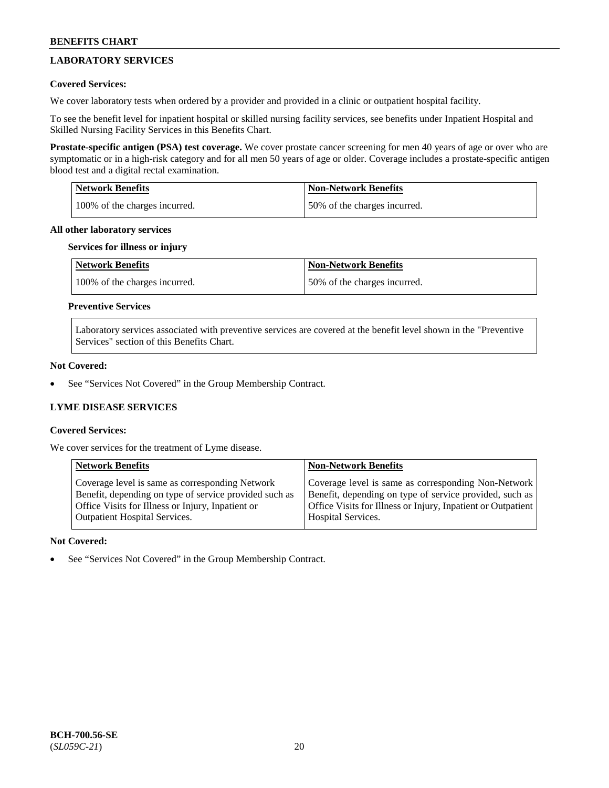# **LABORATORY SERVICES**

# **Covered Services:**

We cover laboratory tests when ordered by a provider and provided in a clinic or outpatient hospital facility.

To see the benefit level for inpatient hospital or skilled nursing facility services, see benefits under Inpatient Hospital and Skilled Nursing Facility Services in this Benefits Chart.

**Prostate-specific antigen (PSA) test coverage.** We cover prostate cancer screening for men 40 years of age or over who are symptomatic or in a high-risk category and for all men 50 years of age or older. Coverage includes a prostate-specific antigen blood test and a digital rectal examination.

| <b>Network Benefits</b>       | <b>Non-Network Benefits</b>  |
|-------------------------------|------------------------------|
| 100% of the charges incurred. | 50% of the charges incurred. |

#### **All other laboratory services**

#### **Services for illness or injury**

| <b>Network Benefits</b>       | <b>Non-Network Benefits</b>  |
|-------------------------------|------------------------------|
| 100% of the charges incurred. | 50% of the charges incurred. |

# **Preventive Services**

Laboratory services associated with preventive services are covered at the benefit level shown in the "Preventive Services" section of this Benefits Chart.

# **Not Covered:**

See "Services Not Covered" in the Group Membership Contract.

# **LYME DISEASE SERVICES**

# **Covered Services:**

We cover services for the treatment of Lyme disease.

| <b>Network Benefits</b>                                | <b>Non-Network Benefits</b>                                  |
|--------------------------------------------------------|--------------------------------------------------------------|
| Coverage level is same as corresponding Network        | Coverage level is same as corresponding Non-Network          |
| Benefit, depending on type of service provided such as | Benefit, depending on type of service provided, such as      |
| Office Visits for Illness or Injury, Inpatient or      | Office Visits for Illness or Injury, Inpatient or Outpatient |
| <b>Outpatient Hospital Services.</b>                   | Hospital Services.                                           |

# **Not Covered:**

See "Services Not Covered" in the Group Membership Contract.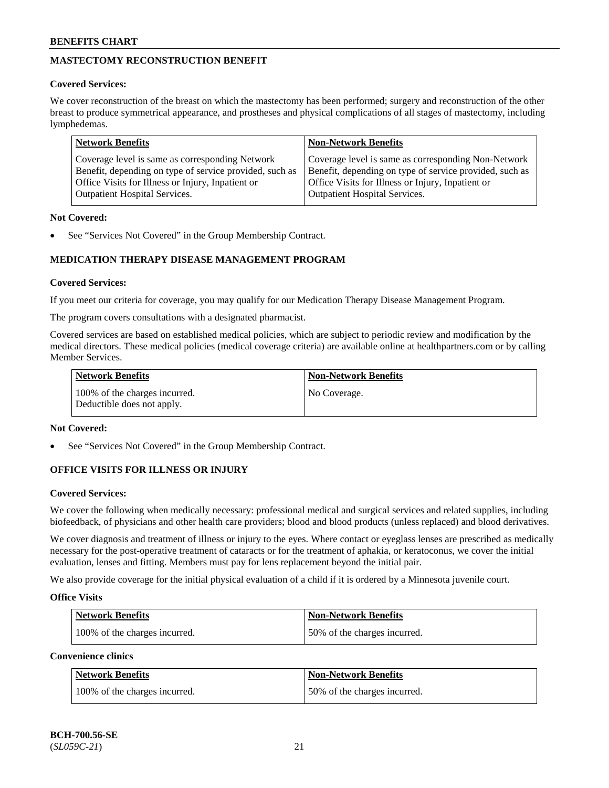# **MASTECTOMY RECONSTRUCTION BENEFIT**

# **Covered Services:**

We cover reconstruction of the breast on which the mastectomy has been performed; surgery and reconstruction of the other breast to produce symmetrical appearance, and prostheses and physical complications of all stages of mastectomy, including lymphedemas.

| <b>Network Benefits</b>                                 | <b>Non-Network Benefits</b>                             |
|---------------------------------------------------------|---------------------------------------------------------|
| Coverage level is same as corresponding Network         | Coverage level is same as corresponding Non-Network     |
| Benefit, depending on type of service provided, such as | Benefit, depending on type of service provided, such as |
| Office Visits for Illness or Injury, Inpatient or       | Office Visits for Illness or Injury, Inpatient or       |
| <b>Outpatient Hospital Services.</b>                    | <b>Outpatient Hospital Services.</b>                    |

# **Not Covered:**

See "Services Not Covered" in the Group Membership Contract.

# **MEDICATION THERAPY DISEASE MANAGEMENT PROGRAM**

# **Covered Services:**

If you meet our criteria for coverage, you may qualify for our Medication Therapy Disease Management Program.

The program covers consultations with a designated pharmacist.

Covered services are based on established medical policies, which are subject to periodic review and modification by the medical directors. These medical policies (medical coverage criteria) are available online at [healthpartners.com](https://www.healthpartners.com/hp/index.html) or by calling Member Services.

| Network Benefits                                            | <b>Non-Network Benefits</b> |
|-------------------------------------------------------------|-----------------------------|
| 100% of the charges incurred.<br>Deductible does not apply. | No Coverage.                |

# **Not Covered:**

See "Services Not Covered" in the Group Membership Contract.

# **OFFICE VISITS FOR ILLNESS OR INJURY**

# **Covered Services:**

We cover the following when medically necessary: professional medical and surgical services and related supplies, including biofeedback, of physicians and other health care providers; blood and blood products (unless replaced) and blood derivatives.

We cover diagnosis and treatment of illness or injury to the eyes. Where contact or eyeglass lenses are prescribed as medically necessary for the post-operative treatment of cataracts or for the treatment of aphakia, or keratoconus, we cover the initial evaluation, lenses and fitting. Members must pay for lens replacement beyond the initial pair.

We also provide coverage for the initial physical evaluation of a child if it is ordered by a Minnesota juvenile court.

# **Office Visits**

| <b>Network Benefits</b>       | <b>Non-Network Benefits</b>  |
|-------------------------------|------------------------------|
| 100% of the charges incurred. | 50% of the charges incurred. |

**Convenience clinics**

| Network Benefits              | <b>Non-Network Benefits</b>  |
|-------------------------------|------------------------------|
| 100% of the charges incurred. | 50% of the charges incurred. |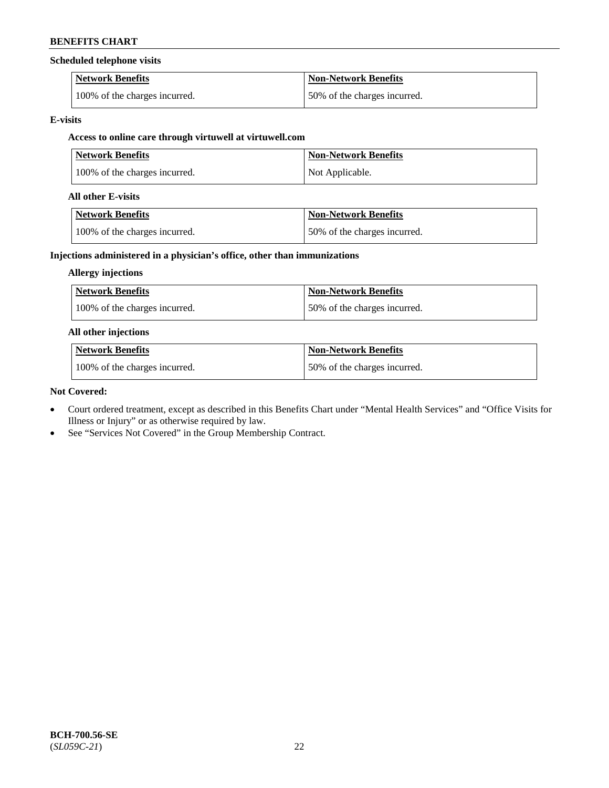# **Scheduled telephone visits**

| <b>Network Benefits</b>       | <b>Non-Network Benefits</b>  |
|-------------------------------|------------------------------|
| 100% of the charges incurred. | 50% of the charges incurred. |

# **E-visits**

# **Access to online care through virtuwell at [virtuwell.com](https://www.virtuwell.com/)**

| <b>Network Benefits</b>       | <b>Non-Network Benefits</b> |
|-------------------------------|-----------------------------|
| 100% of the charges incurred. | Not Applicable.             |

# **All other E-visits**

| Network Benefits              | <b>Non-Network Benefits</b>  |
|-------------------------------|------------------------------|
| 100% of the charges incurred. | 50% of the charges incurred. |

# **Injections administered in a physician's office, other than immunizations**

# **Allergy injections**

| <b>Network Benefits</b>       | <b>Non-Network Benefits</b>  |
|-------------------------------|------------------------------|
| 100% of the charges incurred. | 50% of the charges incurred. |

# **All other injections**

| Network Benefits              | Non-Network Benefits         |
|-------------------------------|------------------------------|
| 100% of the charges incurred. | 50% of the charges incurred. |

# **Not Covered:**

- Court ordered treatment, except as described in this Benefits Chart under "Mental Health Services" and "Office Visits for Illness or Injury" or as otherwise required by law.
- See "Services Not Covered" in the Group Membership Contract.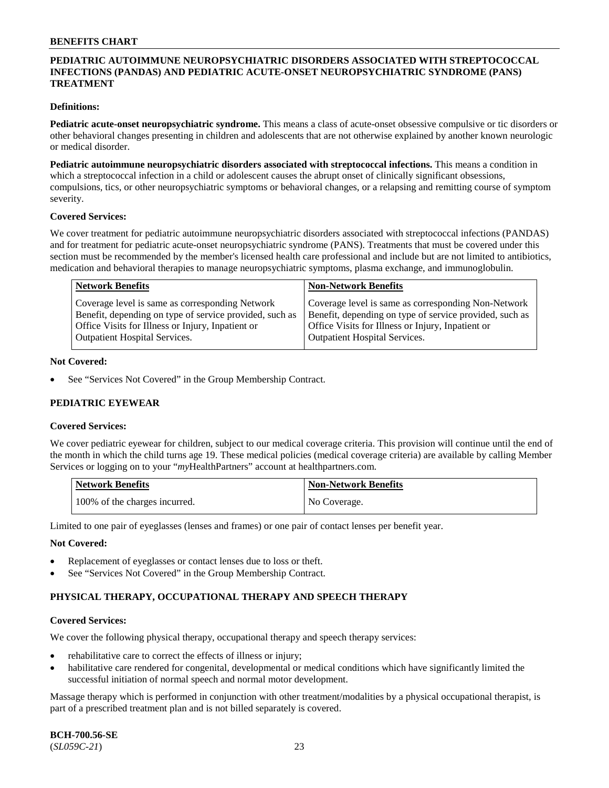# **PEDIATRIC AUTOIMMUNE NEUROPSYCHIATRIC DISORDERS ASSOCIATED WITH STREPTOCOCCAL INFECTIONS (PANDAS) AND PEDIATRIC ACUTE-ONSET NEUROPSYCHIATRIC SYNDROME (PANS) TREATMENT**

### **Definitions:**

**Pediatric acute-onset neuropsychiatric syndrome.** This means a class of acute-onset obsessive compulsive or tic disorders or other behavioral changes presenting in children and adolescents that are not otherwise explained by another known neurologic or medical disorder.

**Pediatric autoimmune neuropsychiatric disorders associated with streptococcal infections.** This means a condition in which a streptococcal infection in a child or adolescent causes the abrupt onset of clinically significant obsessions, compulsions, tics, or other neuropsychiatric symptoms or behavioral changes, or a relapsing and remitting course of symptom severity.

#### **Covered Services:**

We cover treatment for pediatric autoimmune neuropsychiatric disorders associated with streptococcal infections (PANDAS) and for treatment for pediatric acute-onset neuropsychiatric syndrome (PANS). Treatments that must be covered under this section must be recommended by the member's licensed health care professional and include but are not limited to antibiotics, medication and behavioral therapies to manage neuropsychiatric symptoms, plasma exchange, and immunoglobulin.

| <b>Network Benefits</b>                                                                                                                                         | <b>Non-Network Benefits</b>                                                                                                                                         |
|-----------------------------------------------------------------------------------------------------------------------------------------------------------------|---------------------------------------------------------------------------------------------------------------------------------------------------------------------|
| Coverage level is same as corresponding Network<br>Benefit, depending on type of service provided, such as<br>Office Visits for Illness or Injury, Inpatient or | Coverage level is same as corresponding Non-Network<br>Benefit, depending on type of service provided, such as<br>Office Visits for Illness or Injury, Inpatient or |
| <b>Outpatient Hospital Services.</b>                                                                                                                            | <b>Outpatient Hospital Services.</b>                                                                                                                                |

#### **Not Covered:**

See "Services Not Covered" in the Group Membership Contract.

# **PEDIATRIC EYEWEAR**

#### **Covered Services:**

We cover pediatric eyewear for children, subject to our medical coverage criteria. This provision will continue until the end of the month in which the child turns age 19. These medical policies (medical coverage criteria) are available by calling Member Services or logging on to your "*my*HealthPartners" account at [healthpartners.com.](https://www.healthpartners.com/hp/index.html)

| Network Benefits              | <b>Non-Network Benefits</b> |
|-------------------------------|-----------------------------|
| 100% of the charges incurred. | No Coverage.                |

Limited to one pair of eyeglasses (lenses and frames) or one pair of contact lenses per benefit year.

#### **Not Covered:**

- Replacement of eyeglasses or contact lenses due to loss or theft.
- See "Services Not Covered" in the Group Membership Contract.

# **PHYSICAL THERAPY, OCCUPATIONAL THERAPY AND SPEECH THERAPY**

#### **Covered Services:**

We cover the following physical therapy, occupational therapy and speech therapy services:

- rehabilitative care to correct the effects of illness or injury;
- habilitative care rendered for congenital, developmental or medical conditions which have significantly limited the successful initiation of normal speech and normal motor development.

Massage therapy which is performed in conjunction with other treatment/modalities by a physical occupational therapist, is part of a prescribed treatment plan and is not billed separately is covered.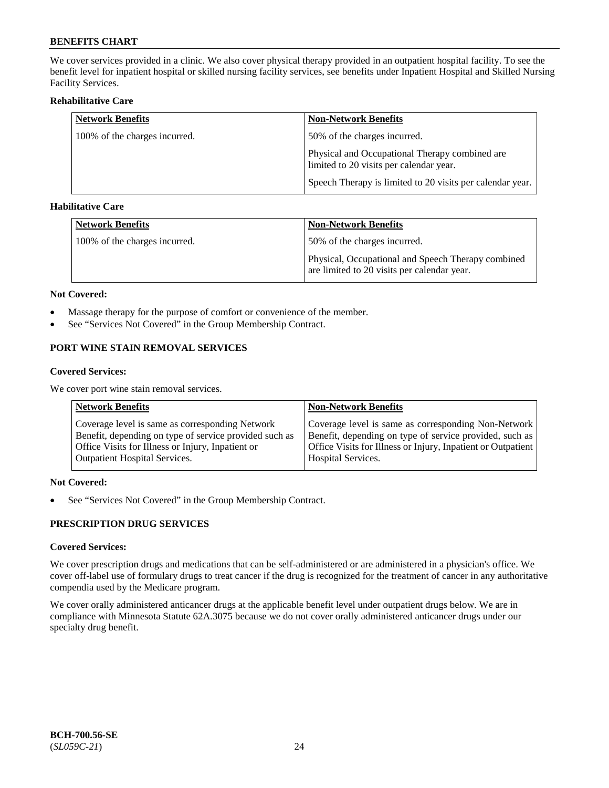We cover services provided in a clinic. We also cover physical therapy provided in an outpatient hospital facility. To see the benefit level for inpatient hospital or skilled nursing facility services, see benefits under Inpatient Hospital and Skilled Nursing Facility Services.

### **Rehabilitative Care**

| <b>Network Benefits</b>       | <b>Non-Network Benefits</b>                                                               |
|-------------------------------|-------------------------------------------------------------------------------------------|
| 100% of the charges incurred. | 50% of the charges incurred.                                                              |
|                               | Physical and Occupational Therapy combined are<br>limited to 20 visits per calendar year. |
|                               | Speech Therapy is limited to 20 visits per calendar year.                                 |

# **Habilitative Care**

| <b>Network Benefits</b>       | <b>Non-Network Benefits</b>                                                                       |
|-------------------------------|---------------------------------------------------------------------------------------------------|
| 100% of the charges incurred. | 50% of the charges incurred.                                                                      |
|                               | Physical, Occupational and Speech Therapy combined<br>are limited to 20 visits per calendar year. |

#### **Not Covered:**

- Massage therapy for the purpose of comfort or convenience of the member.
- See "Services Not Covered" in the Group Membership Contract.

# **PORT WINE STAIN REMOVAL SERVICES**

#### **Covered Services:**

We cover port wine stain removal services.

| <b>Network Benefits</b>                                | <b>Non-Network Benefits</b>                                  |
|--------------------------------------------------------|--------------------------------------------------------------|
| Coverage level is same as corresponding Network        | Coverage level is same as corresponding Non-Network          |
| Benefit, depending on type of service provided such as | Benefit, depending on type of service provided, such as      |
| Office Visits for Illness or Injury, Inpatient or      | Office Visits for Illness or Injury, Inpatient or Outpatient |
| <b>Outpatient Hospital Services.</b>                   | <b>Hospital Services.</b>                                    |

# **Not Covered:**

• See "Services Not Covered" in the Group Membership Contract.

# **PRESCRIPTION DRUG SERVICES**

# **Covered Services:**

We cover prescription drugs and medications that can be self-administered or are administered in a physician's office. We cover off-label use of formulary drugs to treat cancer if the drug is recognized for the treatment of cancer in any authoritative compendia used by the Medicare program.

We cover orally administered anticancer drugs at the applicable benefit level under outpatient drugs below. We are in compliance with Minnesota Statute 62A.3075 because we do not cover orally administered anticancer drugs under our specialty drug benefit.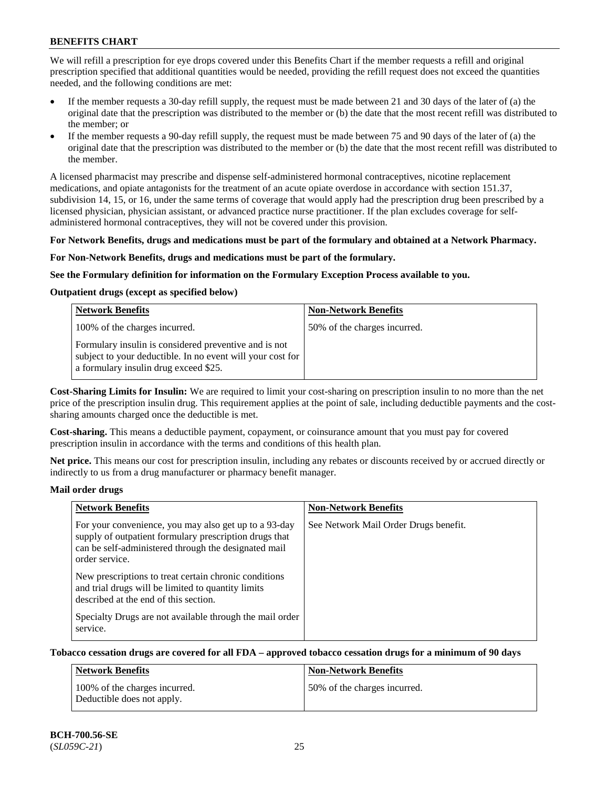We will refill a prescription for eye drops covered under this Benefits Chart if the member requests a refill and original prescription specified that additional quantities would be needed, providing the refill request does not exceed the quantities needed, and the following conditions are met:

- If the member requests a 30-day refill supply, the request must be made between 21 and 30 days of the later of (a) the original date that the prescription was distributed to the member or (b) the date that the most recent refill was distributed to the member; or
- If the member requests a 90-day refill supply, the request must be made between 75 and 90 days of the later of (a) the original date that the prescription was distributed to the member or (b) the date that the most recent refill was distributed to the member.

A licensed pharmacist may prescribe and dispense self-administered hormonal contraceptives, nicotine replacement medications, and opiate antagonists for the treatment of an acute opiate overdose in accordance with section 151.37, subdivision 14, 15, or 16, under the same terms of coverage that would apply had the prescription drug been prescribed by a licensed physician, physician assistant, or advanced practice nurse practitioner. If the plan excludes coverage for selfadministered hormonal contraceptives, they will not be covered under this provision.

#### **For Network Benefits, drugs and medications must be part of the formulary and obtained at a Network Pharmacy.**

#### **For Non-Network Benefits, drugs and medications must be part of the formulary.**

#### **See the Formulary definition for information on the Formulary Exception Process available to you.**

# **Outpatient drugs (except as specified below)**

| <b>Network Benefits</b>                                                                                                                                      | <b>Non-Network Benefits</b>  |
|--------------------------------------------------------------------------------------------------------------------------------------------------------------|------------------------------|
| 100% of the charges incurred.                                                                                                                                | 50% of the charges incurred. |
| Formulary insulin is considered preventive and is not<br>subject to your deductible. In no event will your cost for<br>a formulary insulin drug exceed \$25. |                              |

**Cost-Sharing Limits for Insulin:** We are required to limit your cost-sharing on prescription insulin to no more than the net price of the prescription insulin drug. This requirement applies at the point of sale, including deductible payments and the costsharing amounts charged once the deductible is met.

**Cost-sharing.** This means a deductible payment, copayment, or coinsurance amount that you must pay for covered prescription insulin in accordance with the terms and conditions of this health plan.

**Net price.** This means our cost for prescription insulin, including any rebates or discounts received by or accrued directly or indirectly to us from a drug manufacturer or pharmacy benefit manager.

#### **Mail order drugs**

| <b>Network Benefits</b>                                                                                                                                                                   | <b>Non-Network Benefits</b>           |
|-------------------------------------------------------------------------------------------------------------------------------------------------------------------------------------------|---------------------------------------|
| For your convenience, you may also get up to a 93-day<br>supply of outpatient formulary prescription drugs that<br>can be self-administered through the designated mail<br>order service. | See Network Mail Order Drugs benefit. |
| New prescriptions to treat certain chronic conditions<br>and trial drugs will be limited to quantity limits<br>described at the end of this section.                                      |                                       |
| Specialty Drugs are not available through the mail order<br>service.                                                                                                                      |                                       |

# **Tobacco cessation drugs are covered for all FDA – approved tobacco cessation drugs for a minimum of 90 days**

| Network Benefits                                            | <b>Non-Network Benefits</b>  |
|-------------------------------------------------------------|------------------------------|
| 100% of the charges incurred.<br>Deductible does not apply. | 50% of the charges incurred. |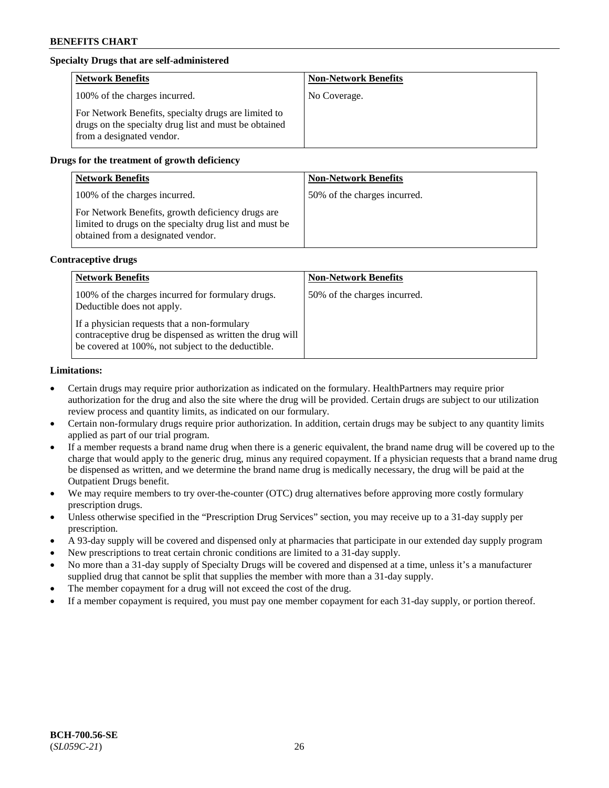# **Specialty Drugs that are self-administered**

| <b>Network Benefits</b>                                                                                                                    | <b>Non-Network Benefits</b> |
|--------------------------------------------------------------------------------------------------------------------------------------------|-----------------------------|
| 100% of the charges incurred.                                                                                                              | No Coverage.                |
| For Network Benefits, specialty drugs are limited to<br>drugs on the specialty drug list and must be obtained<br>from a designated vendor. |                             |

# **Drugs for the treatment of growth deficiency**

| <b>Network Benefits</b>                                                                                                                            | <b>Non-Network Benefits</b>  |
|----------------------------------------------------------------------------------------------------------------------------------------------------|------------------------------|
| 100% of the charges incurred.                                                                                                                      | 50% of the charges incurred. |
| For Network Benefits, growth deficiency drugs are<br>limited to drugs on the specialty drug list and must be<br>obtained from a designated vendor. |                              |

#### **Contraceptive drugs**

| <b>Network Benefits</b>                                                                                                                                        | <b>Non-Network Benefits</b>  |
|----------------------------------------------------------------------------------------------------------------------------------------------------------------|------------------------------|
| 100% of the charges incurred for formulary drugs.<br>Deductible does not apply.                                                                                | 50% of the charges incurred. |
| If a physician requests that a non-formulary<br>contraceptive drug be dispensed as written the drug will<br>be covered at 100%, not subject to the deductible. |                              |

#### **Limitations:**

- Certain drugs may require prior authorization as indicated on the formulary. HealthPartners may require prior authorization for the drug and also the site where the drug will be provided. Certain drugs are subject to our utilization review process and quantity limits, as indicated on our formulary.
- Certain non-formulary drugs require prior authorization. In addition, certain drugs may be subject to any quantity limits applied as part of our trial program.
- If a member requests a brand name drug when there is a generic equivalent, the brand name drug will be covered up to the charge that would apply to the generic drug, minus any required copayment. If a physician requests that a brand name drug be dispensed as written, and we determine the brand name drug is medically necessary, the drug will be paid at the Outpatient Drugs benefit.
- We may require members to try over-the-counter (OTC) drug alternatives before approving more costly formulary prescription drugs.
- Unless otherwise specified in the "Prescription Drug Services" section, you may receive up to a 31-day supply per prescription.
- A 93-day supply will be covered and dispensed only at pharmacies that participate in our extended day supply program
- New prescriptions to treat certain chronic conditions are limited to a 31-day supply.
- No more than a 31-day supply of Specialty Drugs will be covered and dispensed at a time, unless it's a manufacturer supplied drug that cannot be split that supplies the member with more than a 31-day supply.
- The member copayment for a drug will not exceed the cost of the drug.
- If a member copayment is required, you must pay one member copayment for each 31-day supply, or portion thereof.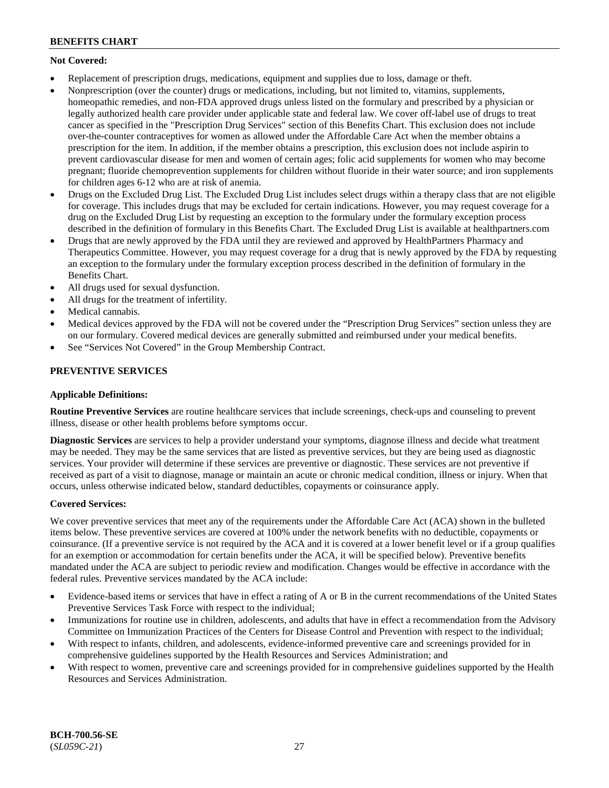# **Not Covered:**

- Replacement of prescription drugs, medications, equipment and supplies due to loss, damage or theft.
- Nonprescription (over the counter) drugs or medications, including, but not limited to, vitamins, supplements, homeopathic remedies, and non-FDA approved drugs unless listed on the formulary and prescribed by a physician or legally authorized health care provider under applicable state and federal law. We cover off-label use of drugs to treat cancer as specified in the "Prescription Drug Services" section of this Benefits Chart. This exclusion does not include over-the-counter contraceptives for women as allowed under the Affordable Care Act when the member obtains a prescription for the item. In addition, if the member obtains a prescription, this exclusion does not include aspirin to prevent cardiovascular disease for men and women of certain ages; folic acid supplements for women who may become pregnant; fluoride chemoprevention supplements for children without fluoride in their water source; and iron supplements for children ages 6-12 who are at risk of anemia.
- Drugs on the Excluded Drug List. The Excluded Drug List includes select drugs within a therapy class that are not eligible for coverage. This includes drugs that may be excluded for certain indications. However, you may request coverage for a drug on the Excluded Drug List by requesting an exception to the formulary under the formulary exception process described in the definition of formulary in this Benefits Chart. The Excluded Drug List is available at [healthpartners.com](http://www.healthpartners.com/)
- Drugs that are newly approved by the FDA until they are reviewed and approved by HealthPartners Pharmacy and Therapeutics Committee. However, you may request coverage for a drug that is newly approved by the FDA by requesting an exception to the formulary under the formulary exception process described in the definition of formulary in the Benefits Chart.
- All drugs used for sexual dysfunction.
- All drugs for the treatment of infertility.
- Medical cannabis.
- Medical devices approved by the FDA will not be covered under the "Prescription Drug Services" section unless they are on our formulary. Covered medical devices are generally submitted and reimbursed under your medical benefits.
- See "Services Not Covered" in the Group Membership Contract.

# **PREVENTIVE SERVICES**

# **Applicable Definitions:**

**Routine Preventive Services** are routine healthcare services that include screenings, check-ups and counseling to prevent illness, disease or other health problems before symptoms occur.

**Diagnostic Services** are services to help a provider understand your symptoms, diagnose illness and decide what treatment may be needed. They may be the same services that are listed as preventive services, but they are being used as diagnostic services. Your provider will determine if these services are preventive or diagnostic. These services are not preventive if received as part of a visit to diagnose, manage or maintain an acute or chronic medical condition, illness or injury. When that occurs, unless otherwise indicated below, standard deductibles, copayments or coinsurance apply.

# **Covered Services:**

We cover preventive services that meet any of the requirements under the Affordable Care Act (ACA) shown in the bulleted items below. These preventive services are covered at 100% under the network benefits with no deductible, copayments or coinsurance. (If a preventive service is not required by the ACA and it is covered at a lower benefit level or if a group qualifies for an exemption or accommodation for certain benefits under the ACA, it will be specified below). Preventive benefits mandated under the ACA are subject to periodic review and modification. Changes would be effective in accordance with the federal rules. Preventive services mandated by the ACA include:

- Evidence-based items or services that have in effect a rating of A or B in the current recommendations of the United States Preventive Services Task Force with respect to the individual;
- Immunizations for routine use in children, adolescents, and adults that have in effect a recommendation from the Advisory Committee on Immunization Practices of the Centers for Disease Control and Prevention with respect to the individual;
- With respect to infants, children, and adolescents, evidence-informed preventive care and screenings provided for in comprehensive guidelines supported by the Health Resources and Services Administration; and
- With respect to women, preventive care and screenings provided for in comprehensive guidelines supported by the Health Resources and Services Administration.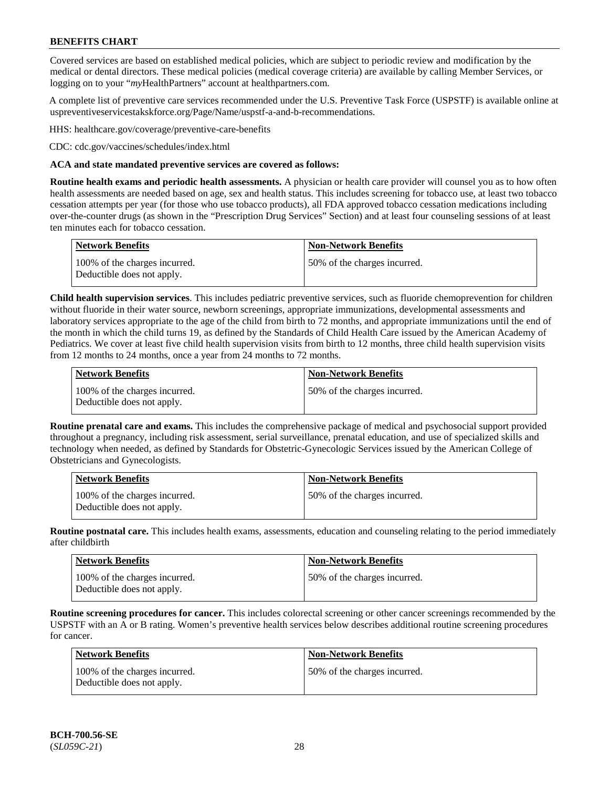Covered services are based on established medical policies, which are subject to periodic review and modification by the medical or dental directors. These medical policies (medical coverage criteria) are available by calling Member Services, or logging on to your "*my*HealthPartners" account at [healthpartners.com.](http://www.healthpartners.com/)

A complete list of preventive care services recommended under the U.S. Preventive Task Force (USPSTF) is available online at [uspreventiveservicestakskforce.org/Page/Name/uspstf-a-and-b-recommendations.](https://www.uspreventiveservicestaskforce.org/Page/Name/uspstf-a-and-b-recommendations-by-date/)

HHS: [healthcare.gov/coverage/preventive-care-benefits](https://www.healthcare.gov/coverage/preventive-care-benefits/)

CDC: [cdc.gov/vaccines/schedules/index.html](https://www.cdc.gov/vaccines/schedules/index.html)

### **ACA and state mandated preventive services are covered as follows:**

**Routine health exams and periodic health assessments.** A physician or health care provider will counsel you as to how often health assessments are needed based on age, sex and health status. This includes screening for tobacco use, at least two tobacco cessation attempts per year (for those who use tobacco products), all FDA approved tobacco cessation medications including over-the-counter drugs (as shown in the "Prescription Drug Services" Section) and at least four counseling sessions of at least ten minutes each for tobacco cessation.

| <b>Network Benefits</b>                                     | <b>Non-Network Benefits</b>  |
|-------------------------------------------------------------|------------------------------|
| 100% of the charges incurred.<br>Deductible does not apply. | 50% of the charges incurred. |

**Child health supervision services**. This includes pediatric preventive services, such as fluoride chemoprevention for children without fluoride in their water source, newborn screenings, appropriate immunizations, developmental assessments and laboratory services appropriate to the age of the child from birth to 72 months, and appropriate immunizations until the end of the month in which the child turns 19, as defined by the Standards of Child Health Care issued by the American Academy of Pediatrics. We cover at least five child health supervision visits from birth to 12 months, three child health supervision visits from 12 months to 24 months, once a year from 24 months to 72 months.

| Network Benefits                                            | <b>Non-Network Benefits</b>  |
|-------------------------------------------------------------|------------------------------|
| 100% of the charges incurred.<br>Deductible does not apply. | 50% of the charges incurred. |

**Routine prenatal care and exams.** This includes the comprehensive package of medical and psychosocial support provided throughout a pregnancy, including risk assessment, serial surveillance, prenatal education, and use of specialized skills and technology when needed, as defined by Standards for Obstetric-Gynecologic Services issued by the American College of Obstetricians and Gynecologists.

| <b>Network Benefits</b>                                     | <b>Non-Network Benefits</b>   |
|-------------------------------------------------------------|-------------------------------|
| 100% of the charges incurred.<br>Deductible does not apply. | 150% of the charges incurred. |

**Routine postnatal care.** This includes health exams, assessments, education and counseling relating to the period immediately after childbirth

| <b>Network Benefits</b>                                     | <b>Non-Network Benefits</b>  |
|-------------------------------------------------------------|------------------------------|
| 100% of the charges incurred.<br>Deductible does not apply. | 50% of the charges incurred. |

**Routine screening procedures for cancer.** This includes colorectal screening or other cancer screenings recommended by the USPSTF with an A or B rating. Women's preventive health services below describes additional routine screening procedures for cancer.

| <b>Network Benefits</b>                                     | <b>Non-Network Benefits</b>  |
|-------------------------------------------------------------|------------------------------|
| 100% of the charges incurred.<br>Deductible does not apply. | 50% of the charges incurred. |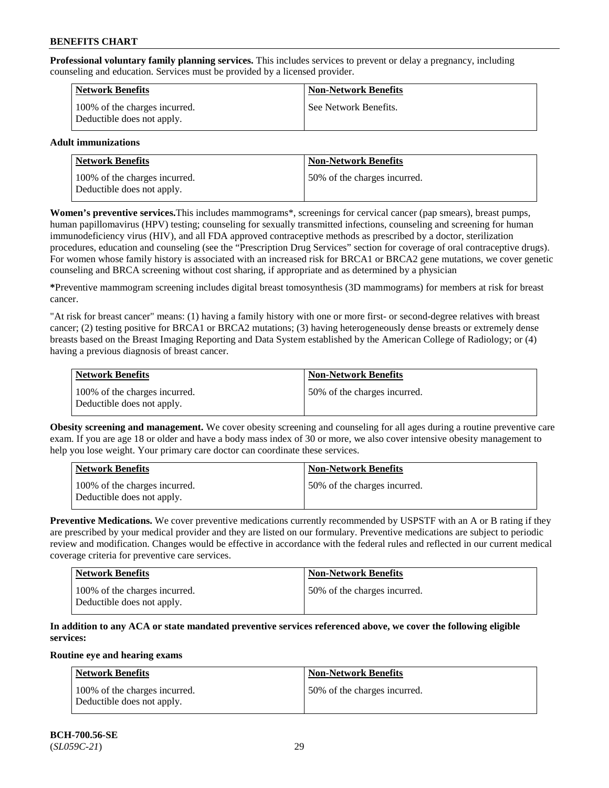**Professional voluntary family planning services.** This includes services to prevent or delay a pregnancy, including counseling and education. Services must be provided by a licensed provider.

| <b>Network Benefits</b>                                     | <b>Non-Network Benefits</b> |
|-------------------------------------------------------------|-----------------------------|
| 100% of the charges incurred.<br>Deductible does not apply. | See Network Benefits.       |

# **Adult immunizations**

| <b>Network Benefits</b>                                     | <b>Non-Network Benefits</b>  |
|-------------------------------------------------------------|------------------------------|
| 100% of the charges incurred.<br>Deductible does not apply. | 50% of the charges incurred. |

**Women's preventive services.**This includes mammograms\*, screenings for cervical cancer (pap smears), breast pumps, human papillomavirus (HPV) testing; counseling for sexually transmitted infections, counseling and screening for human immunodeficiency virus (HIV), and all FDA approved contraceptive methods as prescribed by a doctor, sterilization procedures, education and counseling (see the "Prescription Drug Services" section for coverage of oral contraceptive drugs). For women whose family history is associated with an increased risk for BRCA1 or BRCA2 gene mutations, we cover genetic counseling and BRCA screening without cost sharing, if appropriate and as determined by a physician

**\***Preventive mammogram screening includes digital breast tomosynthesis (3D mammograms) for members at risk for breast cancer.

"At risk for breast cancer" means: (1) having a family history with one or more first- or second-degree relatives with breast cancer; (2) testing positive for BRCA1 or BRCA2 mutations; (3) having heterogeneously dense breasts or extremely dense breasts based on the Breast Imaging Reporting and Data System established by the American College of Radiology; or (4) having a previous diagnosis of breast cancer.

| Network Benefits                                            | <b>Non-Network Benefits</b>  |
|-------------------------------------------------------------|------------------------------|
| 100% of the charges incurred.<br>Deductible does not apply. | 50% of the charges incurred. |

**Obesity screening and management.** We cover obesity screening and counseling for all ages during a routine preventive care exam. If you are age 18 or older and have a body mass index of 30 or more, we also cover intensive obesity management to help you lose weight. Your primary care doctor can coordinate these services.

| <b>Network Benefits</b>                                     | <b>Non-Network Benefits</b>  |
|-------------------------------------------------------------|------------------------------|
| 100% of the charges incurred.<br>Deductible does not apply. | 50% of the charges incurred. |

**Preventive Medications.** We cover preventive medications currently recommended by USPSTF with an A or B rating if they are prescribed by your medical provider and they are listed on our formulary. Preventive medications are subject to periodic review and modification. Changes would be effective in accordance with the federal rules and reflected in our current medical coverage criteria for preventive care services.

| <b>Network Benefits</b>                                     | <b>Non-Network Benefits</b>   |
|-------------------------------------------------------------|-------------------------------|
| 100% of the charges incurred.<br>Deductible does not apply. | 150% of the charges incurred. |

# **In addition to any ACA or state mandated preventive services referenced above, we cover the following eligible services:**

#### **Routine eye and hearing exams**

| <b>Network Benefits</b>                                     | <b>Non-Network Benefits</b>  |
|-------------------------------------------------------------|------------------------------|
| 100% of the charges incurred.<br>Deductible does not apply. | 50% of the charges incurred. |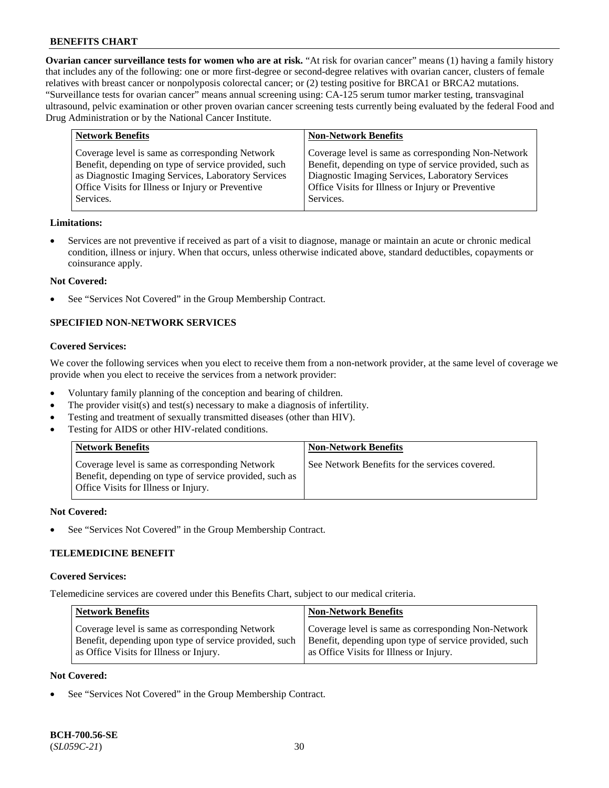**Ovarian cancer surveillance tests for women who are at risk.** "At risk for ovarian cancer" means (1) having a family history that includes any of the following: one or more first-degree or second-degree relatives with ovarian cancer, clusters of female relatives with breast cancer or nonpolyposis colorectal cancer; or (2) testing positive for BRCA1 or BRCA2 mutations. "Surveillance tests for ovarian cancer" means annual screening using: CA-125 serum tumor marker testing, transvaginal ultrasound, pelvic examination or other proven ovarian cancer screening tests currently being evaluated by the federal Food and Drug Administration or by the National Cancer Institute.

| <b>Network Benefits</b>                              | <b>Non-Network Benefits</b>                             |
|------------------------------------------------------|---------------------------------------------------------|
| Coverage level is same as corresponding Network      | Coverage level is same as corresponding Non-Network     |
| Benefit, depending on type of service provided, such | Benefit, depending on type of service provided, such as |
| as Diagnostic Imaging Services, Laboratory Services  | Diagnostic Imaging Services, Laboratory Services        |
| Office Visits for Illness or Injury or Preventive    | Office Visits for Illness or Injury or Preventive       |
| Services.                                            | Services.                                               |

#### **Limitations:**

• Services are not preventive if received as part of a visit to diagnose, manage or maintain an acute or chronic medical condition, illness or injury. When that occurs, unless otherwise indicated above, standard deductibles, copayments or coinsurance apply.

#### **Not Covered:**

See "Services Not Covered" in the Group Membership Contract.

# **SPECIFIED NON-NETWORK SERVICES**

# **Covered Services:**

We cover the following services when you elect to receive them from a non-network provider, at the same level of coverage we provide when you elect to receive the services from a network provider:

- Voluntary family planning of the conception and bearing of children.
- The provider visit(s) and test(s) necessary to make a diagnosis of infertility.
- Testing and treatment of sexually transmitted diseases (other than HIV).
- Testing for AIDS or other HIV-related conditions.

| <b>Network Benefits</b>                                                                                                                            | <b>Non-Network Benefits</b>                    |
|----------------------------------------------------------------------------------------------------------------------------------------------------|------------------------------------------------|
| Coverage level is same as corresponding Network<br>Benefit, depending on type of service provided, such as<br>Office Visits for Illness or Injury. | See Network Benefits for the services covered. |

#### **Not Covered:**

See "Services Not Covered" in the Group Membership Contract.

# **TELEMEDICINE BENEFIT**

#### **Covered Services:**

Telemedicine services are covered under this Benefits Chart, subject to our medical criteria.

| <b>Network Benefits</b>                                | <b>Non-Network Benefits</b>                            |
|--------------------------------------------------------|--------------------------------------------------------|
| Coverage level is same as corresponding Network        | Coverage level is same as corresponding Non-Network    |
| Benefit, depending upon type of service provided, such | Benefit, depending upon type of service provided, such |
| as Office Visits for Illness or Injury.                | as Office Visits for Illness or Injury.                |

### **Not Covered:**

See "Services Not Covered" in the Group Membership Contract.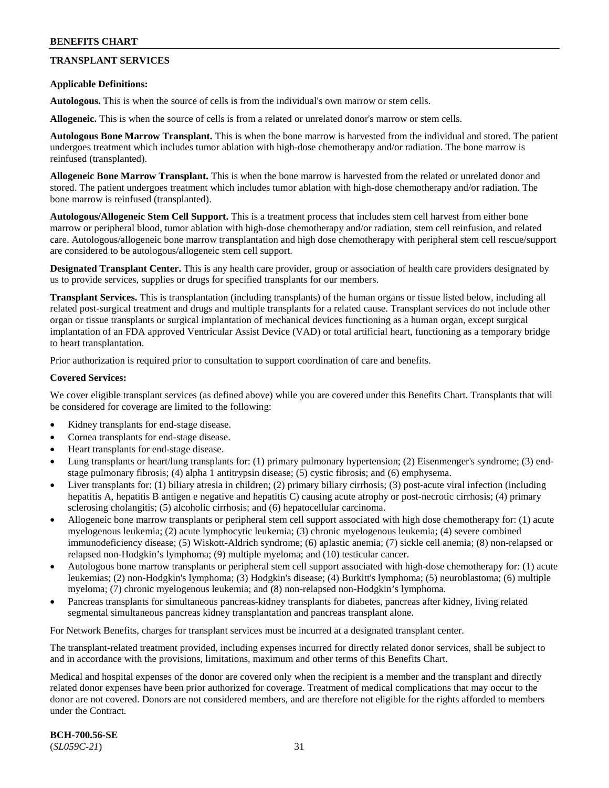# **TRANSPLANT SERVICES**

### **Applicable Definitions:**

**Autologous.** This is when the source of cells is from the individual's own marrow or stem cells.

**Allogeneic.** This is when the source of cells is from a related or unrelated donor's marrow or stem cells.

**Autologous Bone Marrow Transplant.** This is when the bone marrow is harvested from the individual and stored. The patient undergoes treatment which includes tumor ablation with high-dose chemotherapy and/or radiation. The bone marrow is reinfused (transplanted).

**Allogeneic Bone Marrow Transplant.** This is when the bone marrow is harvested from the related or unrelated donor and stored. The patient undergoes treatment which includes tumor ablation with high-dose chemotherapy and/or radiation. The bone marrow is reinfused (transplanted).

**Autologous/Allogeneic Stem Cell Support.** This is a treatment process that includes stem cell harvest from either bone marrow or peripheral blood, tumor ablation with high-dose chemotherapy and/or radiation, stem cell reinfusion, and related care. Autologous/allogeneic bone marrow transplantation and high dose chemotherapy with peripheral stem cell rescue/support are considered to be autologous/allogeneic stem cell support.

**Designated Transplant Center.** This is any health care provider, group or association of health care providers designated by us to provide services, supplies or drugs for specified transplants for our members.

**Transplant Services.** This is transplantation (including transplants) of the human organs or tissue listed below, including all related post-surgical treatment and drugs and multiple transplants for a related cause. Transplant services do not include other organ or tissue transplants or surgical implantation of mechanical devices functioning as a human organ, except surgical implantation of an FDA approved Ventricular Assist Device (VAD) or total artificial heart, functioning as a temporary bridge to heart transplantation.

Prior authorization is required prior to consultation to support coordination of care and benefits.

#### **Covered Services:**

We cover eligible transplant services (as defined above) while you are covered under this Benefits Chart. Transplants that will be considered for coverage are limited to the following:

- Kidney transplants for end-stage disease.
- Cornea transplants for end-stage disease.
- Heart transplants for end-stage disease.
- Lung transplants or heart/lung transplants for: (1) primary pulmonary hypertension; (2) Eisenmenger's syndrome; (3) endstage pulmonary fibrosis; (4) alpha 1 antitrypsin disease; (5) cystic fibrosis; and (6) emphysema.
- Liver transplants for: (1) biliary atresia in children; (2) primary biliary cirrhosis; (3) post-acute viral infection (including hepatitis A, hepatitis B antigen e negative and hepatitis C) causing acute atrophy or post-necrotic cirrhosis; (4) primary sclerosing cholangitis; (5) alcoholic cirrhosis; and (6) hepatocellular carcinoma.
- Allogeneic bone marrow transplants or peripheral stem cell support associated with high dose chemotherapy for: (1) acute myelogenous leukemia; (2) acute lymphocytic leukemia; (3) chronic myelogenous leukemia; (4) severe combined immunodeficiency disease; (5) Wiskott-Aldrich syndrome; (6) aplastic anemia; (7) sickle cell anemia; (8) non-relapsed or relapsed non-Hodgkin's lymphoma; (9) multiple myeloma; and (10) testicular cancer.
- Autologous bone marrow transplants or peripheral stem cell support associated with high-dose chemotherapy for: (1) acute leukemias; (2) non-Hodgkin's lymphoma; (3) Hodgkin's disease; (4) Burkitt's lymphoma; (5) neuroblastoma; (6) multiple myeloma; (7) chronic myelogenous leukemia; and (8) non-relapsed non-Hodgkin's lymphoma.
- Pancreas transplants for simultaneous pancreas-kidney transplants for diabetes, pancreas after kidney, living related segmental simultaneous pancreas kidney transplantation and pancreas transplant alone.

For Network Benefits, charges for transplant services must be incurred at a designated transplant center.

The transplant-related treatment provided, including expenses incurred for directly related donor services, shall be subject to and in accordance with the provisions, limitations, maximum and other terms of this Benefits Chart.

Medical and hospital expenses of the donor are covered only when the recipient is a member and the transplant and directly related donor expenses have been prior authorized for coverage. Treatment of medical complications that may occur to the donor are not covered. Donors are not considered members, and are therefore not eligible for the rights afforded to members under the Contract.